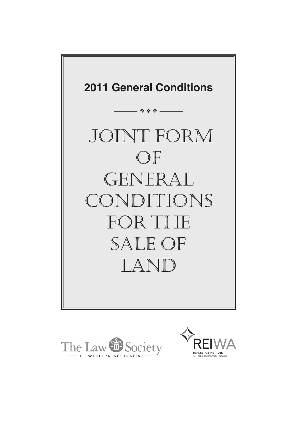



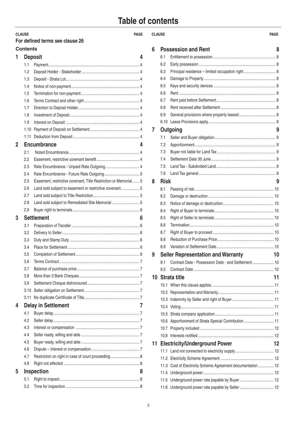# **Table of contents**

| <b>CLAUSE</b>   | For defined terms see clause 26                                 | <b>PAGE</b> | <b>CLAUSE</b> |             |                                                                                              | <b>PAGE</b> |
|-----------------|-----------------------------------------------------------------|-------------|---------------|-------------|----------------------------------------------------------------------------------------------|-------------|
| <b>Contents</b> |                                                                 |             | 6             |             | <b>Possession and Rent</b>                                                                   |             |
| 1               | <b>Deposit</b>                                                  | 4           |               | 6.1         |                                                                                              |             |
| 1.1             |                                                                 |             |               | 6.2         |                                                                                              |             |
| 1.2             |                                                                 |             |               | 6.3         | Principal residence - limited occupation right                                               |             |
|                 |                                                                 |             |               | 6.4         |                                                                                              |             |
| 1.3             |                                                                 |             |               | 6.5         |                                                                                              |             |
| 1.4             |                                                                 |             |               | 6.6         |                                                                                              |             |
| 1.5             |                                                                 |             |               | 6.7         |                                                                                              |             |
| 1.6             |                                                                 |             |               |             |                                                                                              |             |
| 1.7             |                                                                 |             |               | 6.8         |                                                                                              |             |
| 1.8             |                                                                 |             |               | 6.9         |                                                                                              |             |
| 1.9             |                                                                 |             |               |             |                                                                                              |             |
| 1.10            |                                                                 |             | 7             |             | Outgoing                                                                                     |             |
| 1.11            |                                                                 |             |               | 7.1         |                                                                                              |             |
| $\overline{2}$  | <b>Encumbrance</b>                                              | 4           |               | 7.2         |                                                                                              |             |
| 2.1             |                                                                 |             |               | 7.3         |                                                                                              |             |
| 2.2             |                                                                 |             |               | 7.4         |                                                                                              |             |
| 2.3             |                                                                 |             |               | 7.5         |                                                                                              |             |
| 2.4             |                                                                 |             |               | 7.6         |                                                                                              |             |
| 2.5             | Easement, restrictive covenant, Title Restriction or Memorial 5 |             | 8             | <b>Risk</b> |                                                                                              |             |
| 2.6             | Land sold subject to easement or restrictive covenant 5         |             |               | 8.1         |                                                                                              |             |
| 2.7             |                                                                 |             |               | 8.2         |                                                                                              |             |
| 2.8             | Land sold subject to Remediated Site Memorial  5                |             |               | 8.3         |                                                                                              |             |
| 2.9             |                                                                 |             |               | 8.4         |                                                                                              |             |
| 3               | <b>Settlement</b>                                               | 6           |               | 8.5         |                                                                                              |             |
| 3.1             |                                                                 |             |               | 8.6         |                                                                                              |             |
| 3.2             |                                                                 |             |               | 8.7         |                                                                                              |             |
| 3.3             |                                                                 |             |               | 8.8         |                                                                                              |             |
| 3.4             |                                                                 |             |               | 8.9         |                                                                                              |             |
| 3.5             |                                                                 |             |               |             |                                                                                              |             |
| 3.6             |                                                                 |             |               | 9.1         | Seller Representation and Warranty 10<br>Contract Date - Possession Date - and Settlement 10 |             |
| 3.7             |                                                                 |             |               | 9.2         |                                                                                              |             |
| 3.8             |                                                                 |             |               |             |                                                                                              |             |
| 3.9             |                                                                 |             |               |             | 10 Strata title                                                                              | 11          |
| 3.10            |                                                                 |             |               |             |                                                                                              |             |
| 3.11            |                                                                 |             |               |             |                                                                                              |             |
|                 |                                                                 |             |               |             |                                                                                              |             |
| 4               | <b>Delay in Settlement</b>                                      |             |               |             |                                                                                              |             |
| 4.1             |                                                                 |             |               | 10.5        |                                                                                              |             |
| 4.2             |                                                                 |             |               |             | 10.6 Apportionment of Strata Special Contribution  11                                        |             |
| 4.3             |                                                                 |             |               |             |                                                                                              |             |
| 4.4             |                                                                 |             |               |             |                                                                                              |             |
| 4.5             |                                                                 |             |               |             | 11 Electricity/Underground Power                                                             | 12          |
| 4.6             |                                                                 |             |               |             |                                                                                              |             |
| 4.7             | Restriction on right in case of court proceeding 8              |             |               |             |                                                                                              |             |
| 4.8             |                                                                 |             |               |             | 11.3 Cost of Electricity Scheme Agreement documentation  12                                  |             |
| 5               | <b>Inspection</b>                                               | 8           |               |             |                                                                                              |             |
| 5.1             |                                                                 |             |               |             | 11.5 Underground power rate payable by Buyer  12                                             |             |
| 5.2             |                                                                 |             |               |             | 11.6 Underground power rate payable by Seller  12                                            |             |

| <b>CLAUSE</b> |             |                                                             | <b>PAGE</b> |
|---------------|-------------|-------------------------------------------------------------|-------------|
| 6             |             | <b>Possession and Rent</b>                                  | 8           |
|               | 6.1         |                                                             |             |
|               | 6.2         |                                                             |             |
|               | 6.3         | Principal residence - limited occupation right  8           |             |
|               | 6.4         |                                                             |             |
|               | 6.5         |                                                             |             |
|               | 6.6         |                                                             |             |
|               | 6.7         |                                                             |             |
|               | 6.8         |                                                             |             |
|               | 6.9         |                                                             |             |
|               | 6.10        |                                                             |             |
| 7             |             | Outgoing                                                    | 9           |
|               | 7.1         |                                                             |             |
|               | 7.2         |                                                             |             |
|               | 7.3         |                                                             |             |
|               | 74          |                                                             |             |
|               | 7.5         |                                                             |             |
|               | 7.6         |                                                             |             |
| 8             | <b>Risk</b> |                                                             | 9           |
|               | 8.1         |                                                             |             |
|               | 8.2         |                                                             |             |
|               | 8.3         |                                                             |             |
|               | 8.4         |                                                             |             |
|               | 8.5         |                                                             |             |
|               | 8.6         |                                                             |             |
|               | 8.7         |                                                             |             |
|               | 8.8         |                                                             |             |
|               | 8.9         |                                                             |             |
| 9             |             | <b>Seller Representation and Warranty</b>                   | 10          |
|               | 9.1         | Contract Date - Possession Date - and Settlement 10         |             |
|               | 9.2         |                                                             |             |
| 10            |             | <b>Strata title</b>                                         | 11          |
|               | 10.1        |                                                             |             |
|               | 10.2        |                                                             |             |
|               | 10.3        |                                                             |             |
|               | 10.4        |                                                             |             |
|               | 10.5        |                                                             |             |
|               | 10.6        | Apportionment of Strata Special Contribution  11            |             |
|               |             |                                                             |             |
|               | 10.8        |                                                             |             |
| 11            |             | <b>Electricity/Underground Power</b>                        | 12          |
|               |             |                                                             |             |
|               | 11.1        |                                                             |             |
|               |             |                                                             |             |
|               |             | 11.3 Cost of Electricity Scheme Agreement documentation  12 |             |
|               | 11.5        |                                                             |             |
|               |             |                                                             |             |
|               |             |                                                             |             |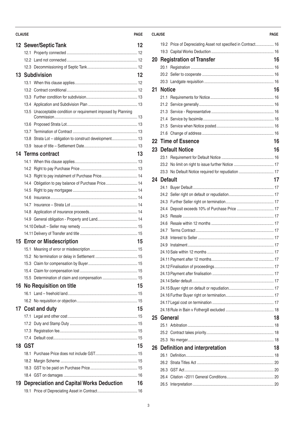### **CLAUSE PAGE CLAUSE PAGE**

|    |            | 12 Sewer/Septic Tank                                           | 12 |
|----|------------|----------------------------------------------------------------|----|
|    |            |                                                                |    |
|    |            |                                                                |    |
|    |            |                                                                |    |
|    |            | <b>13 Subdivision</b>                                          | 12 |
|    |            |                                                                |    |
|    |            |                                                                |    |
|    |            |                                                                |    |
|    |            |                                                                |    |
|    |            | 13.5 Unacceptable condition or requirement imposed by Planning |    |
|    |            |                                                                |    |
|    |            |                                                                |    |
|    |            | 13.8 Strata Lot - obligation to construct development 13       |    |
|    |            |                                                                |    |
|    |            | 14 Terms contract                                              | 13 |
|    |            |                                                                |    |
|    |            |                                                                |    |
|    |            | 14.3 Right to pay instalment of Purchase Price 14              |    |
|    |            | 14.4 Obligation to pay balance of Purchase Price 14            |    |
|    |            |                                                                |    |
|    |            |                                                                |    |
|    |            |                                                                |    |
|    |            |                                                                |    |
|    |            |                                                                |    |
|    |            |                                                                |    |
|    |            |                                                                |    |
| 15 |            | <b>Error or Misdescription</b>                                 | 15 |
|    |            |                                                                |    |
|    |            |                                                                |    |
|    |            |                                                                |    |
|    |            |                                                                |    |
|    |            | 15.5 Determination of claim and compensation  15               |    |
| 16 |            | No Requisition on title                                        | 15 |
|    |            |                                                                |    |
|    |            |                                                                |    |
|    |            | 17 Cost and duty                                               | 15 |
|    |            |                                                                |    |
|    |            |                                                                |    |
|    |            |                                                                |    |
|    |            |                                                                |    |
| 18 | <b>GST</b> |                                                                | 15 |
|    |            |                                                                |    |
|    |            |                                                                |    |
|    |            |                                                                |    |
|    |            |                                                                |    |
| 19 |            | <b>Depreciation and Capital Works Deduction</b>                | 16 |
|    |            |                                                                |    |

|    |               | 19.2 Price of Depreciating Asset not specified in Contract 16 |    |
|----|---------------|---------------------------------------------------------------|----|
|    |               |                                                               |    |
| 20 |               | <b>Registration of Transfer</b>                               | 16 |
|    |               |                                                               |    |
|    |               |                                                               |    |
|    |               |                                                               |    |
| 21 | <b>Notice</b> |                                                               | 16 |
|    |               |                                                               |    |
|    |               |                                                               |    |
|    |               |                                                               |    |
|    |               |                                                               |    |
|    |               |                                                               |    |
|    |               |                                                               |    |
|    |               | 22 Time of Essence                                            | 16 |
|    |               | 23 Default Notice                                             | 16 |
|    |               |                                                               |    |
|    |               |                                                               |    |
|    |               | 23.3 No Default Notice required for repudiation  17           |    |
|    | 24 Default    |                                                               | 17 |
|    |               |                                                               |    |
|    |               |                                                               |    |
|    |               |                                                               |    |
|    |               |                                                               |    |
|    |               |                                                               |    |
|    | 24.6          |                                                               |    |
|    |               |                                                               |    |
|    | 24.8          |                                                               |    |
|    | 24.9          |                                                               |    |
|    |               |                                                               |    |
|    |               |                                                               |    |
|    |               |                                                               |    |
|    |               |                                                               |    |
|    |               |                                                               |    |
|    |               |                                                               |    |
|    |               |                                                               |    |
|    |               |                                                               |    |
|    |               |                                                               |    |
| 25 | General       |                                                               |    |
|    |               |                                                               |    |
|    |               |                                                               |    |
|    |               |                                                               |    |
|    |               | 26 Definition and interpretation                              | 18 |
|    |               |                                                               |    |
|    | 26.2          |                                                               |    |
|    |               |                                                               |    |
|    |               |                                                               |    |
|    |               |                                                               |    |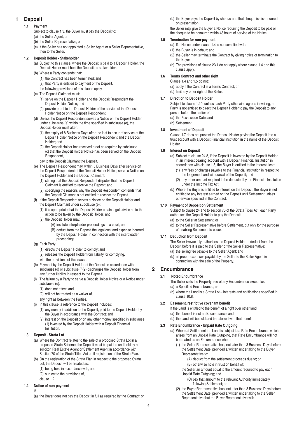# **1 Deposit**

# **1.1 Payment**

- Subject to clause 1.3, the Buyer must pay the Deposit to:
- (a) the Seller Agent; or
- (b) the Seller Representative; or
- (c) if the Seller has not appointed a Seller Agent or a Seller Representative, then to the Seller.

# **1.2 Deposit Holder - Stakeholder**

- (a) Subject to this clause, where the Deposit is paid to a Deposit Holder, the Deposit Holder must hold the Deposit as stakeholder.
- (b) Where a Party contends that:
	- (1) the Contract has been terminated; and
	- (2) that Party is entitled to payment of the Deposit,
	- the following provisions of this clause apply.
- (c) The Deposit Claimant must:
	- (1) serve on the Deposit Holder and the Deposit Respondent the Deposit Holder Notice; and
	- (2) provide proof to the Deposit Holder of the service of the Deposit Holder Notice on the Deposit Respondent.
- (d) Unless the Deposit Respondent serves a Notice on the Deposit Holder under subclause (e) within the time specified in subclause (e), the Deposit Holder must after:
	- (1) the expiry of 8 Business Days after the last to occur of service of the Deposit Holder Notice on the Deposit Respondent and the Deposit Holder; and
	- (2) the Deposit Holder has received proof as required by subclause (c) that the Deposit Holder Notice has been served on the Deposit Respondent,
	- pay to the Deposit Claimant the Deposit.
- (e) The Deposit Respondent may, within 5 Business Days after service on the Deposit Respondent of the Deposit Holder Notice, serve a Notice on the Deposit Holder and the Deposit Claimant:
	- (1) stating that the Deposit Respondent disputes that the Deposit Claimant is entitled to receive the Deposit; and
	- (2) specifying the reasons why the Deposit Respondent contends that the Deposit Claimant is not entitled to receive the Deposit.
- If the Deposit Respondent serves a Notice on the Deposit Holder and
- the Deposit Claimant under subclause (e):
- (1) it is appropriate that the Deposit Holder obtain legal advice as to the action to be taken by the Deposit Holder; and
- (2) the Deposit Holder may:
	- (A) institute interpleader proceedings in a court; and
		- (B) deduct from the Deposit the legal cost and expense incurred by the Deposit Holder in connection with the interpleader proceedings.
- (g) Each Party:
	- (1) directs the Deposit Holder to comply; and
	- (2) releases the Deposit Holder from liability for complying,
	- with the provisions of this clause.
- (h) Payment by the Deposit Holder of the Deposit in accordance with subclause (d) or subclause (f)(2) discharges the Deposit Holder from any further liability in respect to the Deposit.
- (i) The failure by a Party to serve a Deposit Holder Notice or a Notice under subclause (e):
	- (1) does not affect; and
	- (2) will not be treated as a waiver of,
	- any right as between the Parties.
- (j) In this clause, a reference to the Deposit includes:
	- (1) any money in addition to the Deposit, paid to the Deposit Holder by the Buyer in accordance with the Contract; and
	- (2) interest on the Deposit or on any other money specified in subclause (1) invested by the Deposit Holder with a Deposit Financial Institution.
- **1.3 Deposit Strata Lot**
	- (a) Where the Contract relates to the sale of a proposed Strata Lot in a proposed Strata Scheme, the Deposit must be paid to and held by a solicitor, Real Estate Agent or Settlement Agent in accordance with Section 70 of the Strata Titles Act until registration of the Strata Plan.
	- (b) On the registration of the Strata Plan in respect to the proposed Strata Lot, the Deposit will be treated as:
		- (1) being held in accordance with; and
		- (2) subject to the provisions of,
		- clause 1.2.

# **1.4 Notice of non-payment**

- If :
- (a) the Buyer does not pay the Deposit in full as required by the Contract; or

(b) the Buyer pays the Deposit by cheque and that cheque is dishonoured on presentation,

the Seller may give the Buyer a Notice requiring the Deposit to be paid or the cheque to be honoured within 48 hours of service of the Notice.

# **1.5 Termination for non-payment**

- (a) If a Notice under clause 1.4 is not complied with:
- (1) the Buyer is in default; and
- (2) the Seller may terminate the Contract by giving notice of termination to the Buyer.
- (b) The provisions of clause 23.1 do not apply where clause 1.4 and this clause apply.

# **1.6 Terms Contract and other right**

Clause 1.4 and 1.5 do not:

- (a) apply if the Contract is a Terms Contract; or
- (b) limit any other right of the Seller.

# **1.7 Direction to Deposit Holder**

Subject to clause 1.10, unless each Party otherwise agrees in writing, a Party is not entitled to direct the Deposit Holder to pay the Deposit to any person before the earlier of:

- (a) the Possession Date; and
- (b) Settlement.

# **1.8 Investment of Deposit**

Clause 1.7 does not prevent the Deposit Holder paying the Deposit into a trust account with a Deposit Financial Institution in the name of the Deposit Holder.

# **1.9 Interest on Deposit**

- (a) Subject to clause 24.8, if the Deposit is invested by the Deposit Holder in an interest bearing account with a Deposit Financial Institution in accordance with clause 1.8, the Buyer is entitled to the interest, less:
	- (1) any fees or charges payable to the Financial Institution in respect to the lodgement and withdrawal of the Deposit; and
	- (2) any other amount required to be deducted by the Financial Institution under the Income Tax Act.
- (b) Where the Buyer is entitled to interest on the Deposit, the Buyer is not entitled to any interest earned on the Deposit until Settlement unless otherwise specified in the Contract.

# **1.10 Payment of Deposit on Settlement**

Subject to clause 24 and to section 70 of the Strata Titles Act, each Party authorises the Deposit Holder to pay the Deposit:

- (a) to the Seller at Settlement; or
- (b) to the Seller Representative before Settlement, but only for the purpose of enabling Settlement to occur.

# **1.11 Deduction from Deposit**

The Seller irrevocably authorises the Deposit Holder to deduct from the Deposit before it is paid to the Seller or the Seller Representative: (a) the selling fee payable to the Seller Agent; and

(b) all proper expenses payable by the Seller to the Seller Agent in connection with the sale of the Property.

# **2 Encumbrance**

# **2.1 Noted Encumbrance**

The Seller sells the Property free of any Encumbrance except for:

(a) a Specified Encumbrance; and

(b) where the Land is a Strata Lot – interests and notifications specified in clause 10.8.

# **2.2 Easement, restrictive covenant benefit**

If the Land is entitled to the benefit of a right over other land:

- (a) that benefit is not an Encumbrance; and
- (b) the Land will be sold and transferred with that benefit.

# **2.3 Rate Encumbrance - Unpaid Rate Outgoing**

- (a) Where at Settlement the Land is subject to a Rate Encumbrance which arises from an Unpaid Rate Outgoing, that Rate Encumbrance will not be treated as an Encumbrance where:
	- (1) the Seller Representative has, not later than 3 Business Days before the Settlement Date, provided a written undertaking to the Buyer Representative to:
		- (A) deduct from the settlement proceeds due to; or
		- (B) otherwise hold in trust on behalf of;
		- the Seller an amount equal to the amount required to pay each
		- Unpaid Rate Outgoing; and
			- (C) pay that amount to the relevant Authority immediately following Settlement; or
	- (2) the Buyer Representative has, not later than 3 Business Days before the Settlement Date, provided a written undertaking to the Seller Representative that the Buyer Representative will: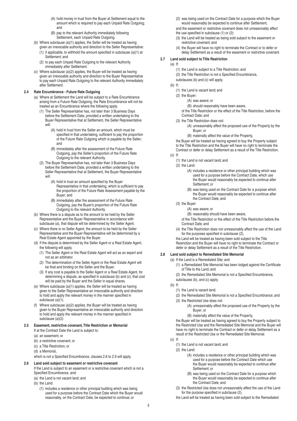- (A) hold money in trust from the Buyer at Settlement equal to the amount which is required to pay each Unpaid Rate Outgoing; and
- (B) pay to the relevant Authority immediately following Settlement, each Unpaid Rate Outgoing.
- (b) Where subclause (a)(1) applies, the Seller will be treated as having given an irrevocable authority and direction to the Seller Representative:
	- (1) if applicable, to withhold the amount specified in subclause (a)(1) at Settlement; and
	- (2) to pay each Unpaid Rate Outgoing to the relevant Authority immediately after Settlement.
- (c) Where subclause (a)(2) applies, the Buyer will be treated as having given an irrevocable authority and direction to the Buyer Representative to pay each Unpaid Rate Outgoing to the relevant Authority immediately after Settlement.

#### **2.4 Rate Encumbrance - Future Rate Outgoing**

- (a) Where at Settlement the Land will be subject to a Rate Encumbrance arising from a Future Rate Outgoing, the Rate Encumbrance will not be treated as an Encumbrance where the following apply.
	- (1) The Seller Representative has, not later than 3 Business Days before the Settlement Date, provided a written undertaking to the Buyer Representative that at Settlement, the Seller Representative will:
		- (A) hold in trust from the Seller an amount, which must be specified in that undertaking, sufficient to pay the proportion of the Future Rate Outgoing which is payable by the Seller; and
		- (B) immediately after the assessment of the Future Rate Outgoing, pay the Seller's proportion of the Future Rate Outgoing to the relevant Authority.
	- (2) The Buyer Representative has, not later than 3 Business Days before the Settlement Date, provided a written undertaking to the Seller Representative that at Settlement, the Buyer Representative will:
		- (A) hold in trust an amount specified by the Buyer Representative in that undertaking, which is sufficient to pay the proportion of the Future Rate Assessment payable by the Buyer; and
		- (B) immediately after the assessment of the Future Rate Outgoing, pay the Buyer's proportion of the Future Rate Outgoing to the relevant Authority.
- (b) Where there is a dispute as to the amount to be held by the Seller Representative and the Buyer Representative in accordance with subclause (a), that dispute will be determined by the Seller Agent.
- (c) Where there is no Seller Agent, the amount to be held by the Seller Representative and the Buyer Representative will be determined by a Real Estate Agent appointed by the Buyer.
- (d) If the dispute is determined by the Seller Agent or a Real Estate Agent, the following will apply.
	- (1) The Seller Agent or the Real Estate Agent will act as an expert and not as an arbitrator.
	- (2) The determination of the Seller Agent or the Real Estate Agent will be final and binding on the Seller and the Buyer.
	- (3) If any cost is payable to the Seller Agent or a Real Estate Agent, for determining a dispute, as specified in subclause (b) and (c), that cost will be paid by the Buyer and the Seller in equal shares.
- (e) Where subclause (a)(1) applies, the Seller will be treated as having given to the Seller Representative an irrevocable authority and direction to hold and apply the relevant money in the manner specified in subclause (a)(1).
- (f) Where subclause (a)(2) applies, the Buyer will be treated as having given to the Buyer Representative an irrevocable authority and direction to hold and apply the relevant money in the manner specified in subclause (a)(2).

# **2.5 Easement, restrictive covenant, Title Restriction or Memorial**

- If at the Contract Date the Land is subject to:
- (a) an easement; or
- (b) a restrictive covenant; or
- (c) a Title Restriction; or
- (d) a Memorial,

which is not a Specified Encumbrance, clauses 2.6 to 2.9 will apply.

# **2.6 Land sold subject to easement or restrictive covenant**

If the Land is subject to an easement or a restrictive covenant which is not a Specified Encumbrance, and:

#### (a) the Land is not vacant land; and

(b) the Land:

(1) includes a residence or other principal building which was being used for a purpose before the Contract Date which the Buyer would reasonably, on the Contract Date, be expected to continue; or

- (2) was being used on the Contract Date for a purpose which the Buyer would reasonably be expected to continue after Settlement, and the easement or restrictive covenant does not unreasonably affect
- the use specified in subclause (1) or (2):
- (3) the Land will be treated as being sold subject to the easement or restrictive covenant; and
- (4) the Buyer will have no right to terminate the Contract or to defer or delay Settlement as a result of the easement or restrictive covenant.

# **2.7 Land sold subject to Title Restriction**

#### (a) If:

- (1) the Land is subject to a Title Restriction; and
- (2) the Title Restriction is not a Specified Encumbrance,
- subclauses (b) and (c) will apply.
- (b) If:
	- (1) the Land is vacant land; and
	- (2) the Buyer:
		- (A) was aware; or
		- (B) should reasonably have been aware,

of the Title Restriction or the effect of the Title Restriction, before the Contract Date; and

- (3) the Title Restriction does not:
	- (A) unreasonably affect the proposed use of the Property by the Buyer; or
	- (B) materially affect the value of the Property,

the Buyer will be treated as having agreed to buy the Property subject to the Title Restriction and the Buyer will have no right to terminate the Contract or defer or delay Settlement as a result of the Title Restriction.

- (c) If:
	- (1) the Land is not vacant land; and
	- (2) the Land:
		- (A) includes a residence or other principal building which was used for a purpose before the Contract Date, which use the Buyer would reasonably be expected to continue after Settlement; or
		- (B) was being used on the Contract Date for a purpose which the Buyer would reasonably be expected to continue after the Contract Date; and
	- (3) the Buyer:
		- (A) was aware; or

(B) reasonably should have been aware,

of the Title Restriction or the effect of the Title Restriction before the Contract Date; and

(4) the Title Restriction does not unreasonably affect the use of the Land for the purposes specified in subclause (2),

the Land will be treated as having been sold subject to the Title Restriction and the Buyer will have no right to terminate the Contract or defer or delay Settlement as a result of the Title Restriction.

# **2.8 Land sold subject to Remediated Site Memorial**

- (a) If the Land is a Remediated Site; and
	- (1) a Remediated Site Memorial has been lodged against the Certificate of Title to the Land; and
	- (2) the Remediated Site Memorial is not a Specified Encumbrance,
	- subclauses (b), and (c) apply.
- (b) If:
	- (1) the Land is vacant land;
	- (2) the Remediated Site Memorial is not a Specified Encumbrance; and (3) the Restricted Use does not:
		- (A) unreasonably affect the proposed use of the Property by the Buyer; or
			- (B) materially affect the value of the Property,

the Buyer will be treated as having agreed to buy the Property subject to the Restricted Use and the Remediated Site Memorial and the Buyer will have no right to terminate the Contract or defer or delay Settlement as a result of the Restricted Use or the Remediated Site Memorial.

- (c) If:
	- (1) the Land is not vacant land; and
	- (2) the Land:
		- (A) includes a residence or other principal building which was used for a purpose before the Contract Date which use the Buyer would reasonably be expected to continue after Settlement; or
		- (B) was being used on the Contract Date for a purpose which the Buyer would reasonably be expected to continue after the Contract Date; and
	- (3) the Restricted Use does not unreasonably affect the use of the Land for the purpose specified in subclause (2),
	- the Land will be treated as having been sold subject to the Remediated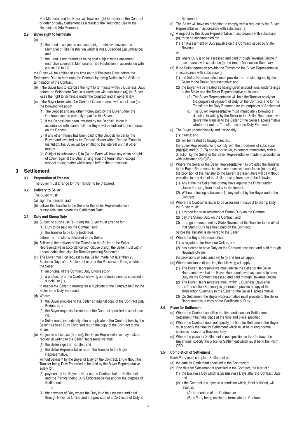Site Memorial and the Buyer will have no right to terminate the Contract or defer or delay Settlement as a result of the Restricted Use or the Remediated Site Memorial.

#### **2.9 Buyer right to terminate**

- (a) If:
	- (1) the Land is subject to an easement, a restrictive covenant, a Memorial or Title Restriction which is not a Specified Encumbrance; and
	- (2) the Land is not treated as being sold subject to the easement, restrictive covenant, Memorial or Title Restriction in accordance with clause 2.6 to 2.8,

the Buyer will be entitled at any time up to 3 Business Days before the Settlement Date to terminate the Contract by giving Notice to the Seller of termination of the Contract.

- (b) If the Buyer fails to exercise the right to terminate within 3 Business Days before the Settlement Date in accordance with subclause (a), the Buyer loses the right to terminate under the Contract and at general law.
- (c) If the Buyer terminates the Contract in accordance with subclause (a), the following will apply.
	- (1) The Deposit and any other money paid by the Buyer under the Contract must be promptly repaid to the Buyer.
	- (2) If the Deposit has been invested by the Deposit Holder in accordance with clause 1.9, the Buyer will be entitled to the interest on the Deposit.
	- (3) If any other money has been paid to the Deposit Holder by the Buyer, and invested by the Deposit Holder with a Deposit Financial Institution, the Buyer will be entitled to the interest on that other money.
	- (4) Subject to subclause (1) to (3), no Party will have any claim or right of action against the other arising from the termination, except in respect to any matter which arose before the termination.

# **3 Settlement**

# **3.1 Preparation of Transfer**

The Buyer must arrange for the Transfer to be prepared.

### **3.2 Delivery to Seller**

The Buyer must:

- (a) sign the Transfer; and
- (b) deliver the Transfer to the Seller or the Seller Representative a reasonable time before the Settlement Date.

#### **3.3 Duty and Stamp Duty**

- (a) Subject to subclause (e) to (m) the Buyer must arrange for:
	- (1) Duty to be paid on the Contract; and
	- (2) the Transfer to be Duty Endorsed,
	- before the Transfer is delivered to the Seller.
- (b) Following the delivery of the Transfer to the Seller or the Seller Representative in accordance with clause 3.2(b), the Seller must within a reasonable time sign the Transfer pending Settlement.
- (c) The Buyer must, on request by the Seller, made not later than 20 Business Days after Settlement or after the Possession Date, provide to the Seller:
	- (1) an original of the Contract Duty Endorsed; or
	- (2) a photocopy of the Contract showing an endorsement as specified in subclause (1).

to enable the Seller to arrange for a duplicate of the Contract held by the Seller to be Duty Endorsed.

- (d) Where:
	- (1) the Buyer provides to the Seller an original copy of the Contract Duty Endorsed; and
	- (2) the Buyer requests the return of the Contract specified in subclause  $(1)$ ,

the Seller must, immediately after a duplicate of the Contract held by the Seller has been Duty Endorsed return the copy of the Contract to the Buyer.

- (e) Subject to subclause (f) to (m), the Buyer Representative may make a request in writing to the Seller Representative that:
	- (1) the Seller sign the Transfer; and
	- (2) the Seller Representative return the Transfer to the Buyer Representative,

without payment by the Buyer of Duty on the Contract, and without the Transfer being Duty Endorsed to be held by the Buyer Representative solely for:

- (3) payment by the Buyer of Duty on the Contract before Settlement and the Transfer being Duty Endorsed before and for the purpose of Settlement;
	- or
- (4) the payment of Duty where the Duty is to be assessed and paid through Revenue Online and the provision of a Certificate of Duty at

#### Settlement.

- (f) The Seller will have no obligation to comply with a request by the Buyer Representative in accordance with subclause (e).
- (g) A request by the Buyer Representative in accordance with subclause (e), must be accompanied by:
	- (1) an Assessment of Duty payable on the Contract issued by State Revenue;
	- or
	- (2) where Duty is to be assessed and paid through Revenue Online in accordance with subclause (l) and (m), a Transaction Summary.
- (h) If the Seller agrees to provide the Transfer to the Buyer Representative, in accordance with subclause (e):
	- (1) the Seller Representative must provide the Transfer signed by the Seller to the Buyer Representative; and
	- (2) the Buyer will be treated as having given unconditional undertakings to the Seller and the Seller Representative as follows.
		- (A) The Buyer Representative will hold the Transfer solely for the purpose of payment of Duty on the Contract, and for the Transfer to be Duty Endorsed for the purposes of Settlement.
		- (B) The Buyer Representative must immediately following a direction in writing by the Seller or the Seller Representative, deliver the Transfer to the Seller or the Seller Representative whether or not the Transfer has been Duty Endorsed.
- (i) The Buyer unconditionally and irrevocably:
	- (1) directs; and
	- (2) will be treated as having directed,

the Buyer Representative to comply with the provisions of subclause  $(h)(2)(A)$  and  $(h)(2)(B)$  and in particular, to comply immediately with a direction by the Seller or the Seller Representative, made in accordance with subclause (h)(2)(B).

- (j) Where the Seller or the Seller Representative has provided the Transfer to the Buyer Representative in accordance with subclause (e) and (h), the provision of the Transfer to the Buyer Representative will be without prejudice to any right of the Seller arising from any of the following. (1) Any claim the Seller has or may have against the Buyer, under
	- clause 4 arising from a delay in Settlement.
	- (2) Without affecting subclause (1), any default by the Buyer under the **Contract**
- (k) Where the Contract is liable to be assessed in respect to Stamp Duty, the Buyer must:
	- (1) arrange for an assessment of Stamp Duty on the Contract;
	- (2) pay the Stamp Duty on the Contract; and
	- (3) arrange endorsement by State Revenue of the Transfer to the effect that Stamp Duty has been paid on the Contract, before the Transfer is delivered to the Seller.
- (l) Where the Buyer Representative:
	- (1) is registered for Revenue Online; and
	- (2) has elected to have Duty on the Contract assessed and paid through Revenue Online,
	- the provisions of subclause (e) to (j) and (m) will apply.
- (m) Where subclause (l) applies, the following will apply.
	- (1) The Buyer Representative must advise the Seller or the Seller Representative that the Buyer Representative has elected to have Duty on the Contract assessed and paid through Revenue Online.
	- (2) The Buyer Representative must, within 5 Business Days after the Transaction Summary is generated, provide a copy of the Transaction Summary to the Seller or the Seller Representative.
	- (3) On Settlement the Buyer Representative must provide to the Seller Representative a copy of the Certificate of Duty.

#### **3.4 Place for Settlement**

- (a) Where the Contract specifies the time and place for Settlement, Settlement must take place at the time and place specified.
- (b) Where the Contract does not specify the time for Settlement, the Buyer must specify the time for Settlement which must be during normal business hours on a Business Day.
- (c) Where the place for Settlement is not specified in the Contract, the Buyer must specify the place for Settlement which must be in the Perth CBD.

# **3.5 Completion of Settlement**

- Each Party must complete Settlement on :
- (a) the date for Settlement specified in the Contract; or
- (b) if no date for Settlement is specified in the Contract, the later of : (1) the Business Day which is 25 Business Days after the Contract Date;
	- and (2) if the Contract is subject to a condition which, if not satisfied, will result in:
		- (A) termination of the Contract; or
		- (B) a Party being entitled to terminate the Contract,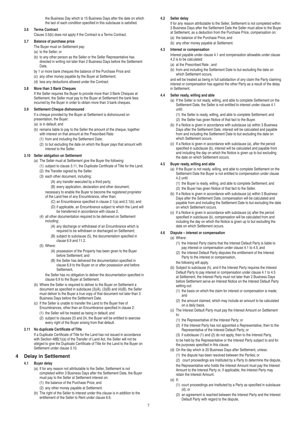the Business Day which is 15 Business Days after the date on which the last of each condition specified in this subclause is satisfied.

#### **3.6 Terms Contract**

Clause 3.5(b) does not apply if the Contract is a Terms Contract.

# **3.7 Balance of purchase price**

The Buyer must on Settlement pay:

- (a) to the Seller; or
- (b) to any other person as the Seller or the Seller Representative has directed in writing not later than 2 Business Days before the Settlement Date,
- by 1 or more bank cheques the balance of the Purchase Price and:
- (c) any other money payable by the Buyer at Settlement;
- (d) less any deductions allowed under the Contract.

#### **3.8 More than 3 Bank Cheques**

If the Seller requires the Buyer to provide more than 3 Bank Cheques at Settlement, the Seller must pay to the Buyer at Settlement the bank fees incurred by the Buyer in order to obtain more than 3 bank cheques.

#### **3.9 Settlement Cheque dishonoured**

If a cheque provided by the Buyer at Settlement is dishonoured on presentation, the Buyer:

- (a) is in default; and
- (b) remains liable to pay to the Seller the amount of the cheque, together with interest on that amount at the Prescribed Rate:
- (1) from and including the Settlement Date;
	- (2) to but excluding the date on which the Buyer pays that amount with interest to the Seller.

# **3.10 Seller obligation on Settlement**

- (a) The Seller must at Settlement give the Buyer the following:
	- (1) subject to clause 3.11, the Duplicate Certificate of Title for the Land.
	- (2) the Transfer signed by the Seller.
	- (3) each other document, including:
		- (A) any transfer executed by a third party;
		- (B) every application, declaration and other document,
		- necessary to enable the Buyer to become the registered proprietor of the Land free of any Encumbrance, other than:
			- (C) an Encumbrance specified in clause 2.1(a) and 2.1(b); and
			- (D) if applicable, an Encumbrance subject to which the Land will be transferred in accordance with clause 2.
	- (4) all other documentation required to be delivered on Settlement including:
		- (A) any discharge or withdrawal of an Encumbrance which is
		- required to be withdrawn or discharged on Settlement; (B) subject to subclause (5), the documentation specified in clause 6.9 and 11.2.
	- (5) Where:
		- (A) possession of the Property has been given to the Buyer before Settlement; and
		- (B) the Seller has delivered the documentation specified in clause 6.9 to the Buyer on or after possession and before Settlement,

the Seller has no obligation to deliver the documentation specified in clause 6.9 to the Buyer at Settlement.

- (b) Where the Seller is required to deliver to the Buyer on Settlement a document as specified in subclause  $(3)(A)$ ,  $(3)(B)$  and  $(4)(B)$ , the Seller must deliver to the Buyer a true copy of that document not later than 3 Business Days before the Settlement Date.
- (c) If the Seller is unable to transfer the Land to the Buyer free of Encumbrances, other than an Encumbrance specified in clause 2:
	- (1) the Seller will be treated as being in default; and
	- (2) subject to clauses 23 and 24, the Buyer will be entitled to exercise every right of the Buyer arising from that default.

#### **3.11 No duplicate Certificate of Title**

If a Duplicate Certificate of Title for the Land has not issued in accordance with Section 48B(1)(a) of the Transfer of Land Act, the Seller will not be obliged to give the Duplicate Certificate of Title for the Land to the Buyer on Settlement under clause 3.10.

# **4 Delay in Settlement**

# **4.1 Buyer delay**

- (a) If for any reason not attributable to the Seller, Settlement is not completed within 3 Business Days after the Settlement Date, the Buyer must pay to the Seller at Settlement interest on:
	- (1) the balance of the Purchase Price; and
	- (2) any other money payable at Settlement.
- (b) The right of the Seller to interest under this clause is in addition to the entitlement of the Seller to Rent under clause 6.6.

# **4.2 Seller delay**

If for any reason attributable to the Seller, Settlement is not completed within 3 Business Days after the Settlement Date the Seller must allow to the Buyer at Settlement, as a deduction from the Purchase Price, compensation on: (a) the balance of the Purchase Price; and

(b) any other money payable at Settlement.

#### **4.3 Interest or compensation**

Interest payable under clause 4.1 and compensation allowable under clause 4.2 is to be calculated:

- (a) at the Prescribed Rate ; and
- (b) from and including the Settlement Date to but excluding the date on which Settlement occurs,

and will be treated as being in full satisfaction of any claim the Party claiming interest or compensation has against the other Party as a result of the delay in Settlement.

### **4.4 Seller ready, willing and able**

- (a) If the Seller is not ready, willing, and able to complete Settlement on the Settlement Date, the Seller is not entitled to interest under clause 4.1 until:
	- (1) the Seller is ready, willing, and able to complete Settlement; and
	- (2) the Seller has given Notice of that fact to the Buyer.
- (b) If a Notice is given in accordance with subclause (a) within 3 Business Days after the Settlement Date, interest will be calculated and payable from and including the Settlement Date to but excluding the date on which Settlement occurs.
- (c) If a Notice is given in accordance with subclause (a), after the period specified in subclause (b), interest will be calculated and payable from and including the day on which the Notice is given up to but excluding the date on which Settlement occurs.

#### **4.5 Buyer ready, willing and able**

- (a) If the Buyer is not ready, willing, and able to complete Settlement on the Settlement Date the Buyer is not entitled to compensation under clause 4.2 until:
	- (1) the Buyer is ready, willing, and able to complete Settlement; and
	- (2) the Buyer has given Notice of that fact to the Seller.
- (b) If a Notice is given in accordance with subclause (a) within 3 Business Days after the Settlement Date, compensation will be calculated and payable from and including the Settlement Date to but excluding the date on which Settlement occurs.
- (c) If a Notice is given in accordance with subclause (a) after the period specified in subclause (b), compensation will be calculated from and including the day on which the Notice is given up to but excluding the date on which Settlement occurs.

#### **4.6 Dispute – interest or compensation**

- (a) Where:
	- (1) the Interest Party claims that the Interest Default Party is liable to pay interest or compensation under clause 4.1 to 4.5; and
	- (2) the Interest Default Party disputes the entitlement of the Interest Party to the interest or compensation,
	- the following will apply.
- (b) Subject to subclause (h), and if the Interest Party requires the Interest Default Party to pay interest or compensation under clause 4.1 to 4.5 at Settlement, the Interest Party must not later than 2 Business Days before Settlement serve an Interest Notice on the Interest Default Party setting out:
	- (1) the basis on which the claim for interest or compensation is made; and
	- (2) the amount claimed, which may include an amount to be calculated on a daily basis.
- (c) The Interest Default Party must pay the Interest Amount on Settlement to:
	- (1) the Representative of the Interest Party; or
	- (2) if the Interest Party has not appointed a Representative, then to the Representative of the Interest Default Party; or
	- (3) if subclause (1) and (2) do not apply, then to the Interest Party,
	- to be held by the Representative or the Interest Party subject to and for the purposes specified in this clause.
- (d) On the day which is 20 Business Days after Settlement, unless:
	- (1) the dispute has been resolved between the Parties; or
	- (2) court proceedings are Instituted by a Party to determine the dispute,
	- the Representative who holds the Interest Amount must pay the Interest

Amount to the Interest Party or, if applicable, the Interest Party may retain the Interest Amount.

- (e) If:
	- (1) court proceedings are Instituted by a Party as specified in subclause (d); or
	- (2) an agreement is reached between the Interest Party and the Interest Default Party with regard to the dispute,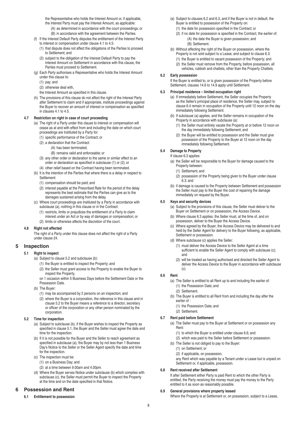the Representative who holds the Interest Amount or, if applicable, the Interest Party must pay the Interest Amount, as applicable:

- (A) as determined in accordance with the court proceedings; or (B) in accordance with the agreement between the Parties.
- (f) If the Interest Default Party disputes the entitlement of the Interest Party to interest or compensation under clause 4.1 to 4.5:
	- (1) that dispute does not affect the obligations of the Parties to proceed to Settlement; and
	- (2) subject to the obligation of the Interest Default Party to pay the Interest Amount on Settlement in accordance with this clause, the Parties must proceed to Settlement.
- (g) Each Party authorises a Representative who holds the Interest Amount under this clause to:
	- (1) pay; and
	- (2) otherwise deal with,
	- the Interest Amount as specified in this clause.
- (h) The provisions of this clause do not affect the right of the Interest Party after Settlement to claim and if appropriate, institute proceedings against the Buyer to recover an amount of interest or compensation as specified in clauses 4.1 to 4.5.

# **4.7 Restriction on right in case of court proceeding**

- (a) The right of a Party under this clause to interest or compensation will cease as at and with effect from and including the date on which court proceedings are Instituted by a Party for:
	- (1) specific performance of the Contract; or
	- (2) a declaration that the Contract:
		- (A) has been terminated;
			- (B) remains valid and enforceable; or
	- (3) any other order or declaration to the same or similar effect to an order or declaration as specified in subclause (1) or (2); or
	- (4) other relief based on the Contract having been terminated.
- (b) It is the intention of the Parties that where there is a delay in respect to Settlement:
	- (1) compensation should be paid; and
	- (2) interest payable at the Prescribed Rate for the period of the delay represents the best estimate that the Parties can give as to the damages sustained arising from the delay.
- (c) Where court proceedings are Instituted by a Party in accordance with subclause (a), nothing in this clause or in the Contract:
	- (1) restricts, limits or prejudices the entitlement of a Party to claim interest under an Act or by way of damages or compensation; or (2) limits or otherwise affects the discretion of the court.

# **4.8 Right not affected**

The right of a Party under this clause does not affect the right of a Party under clause 24.

# **5 Inspection**

# **5.1 Right to inspect**

- (a) Subject to clause 5.2 and subclause (b):
	- (1) the Buyer is entitled to inspect the Property; and
	- (2) the Seller must grant access to the Property to enable the Buyer to inspect the Property, on 1 occasion within 5 Business Days before the Settlement Date or the
	- Possession Date.
- (b) The Buyer:
	- (1) may be accompanied by 2 persons on an inspection; and
	- (2) where the Buyer is a corporation, the reference in this clause and in clause 5.2 to the Buyer means a reference to a director, secretary or officer of the corporation or any other person nominated by the corporation.

# **5.2 Time for inspection**

- (a) Subject to subclause (b), if the Buyer wishes to inspect the Property as specified in clause 5.1, the Buyer and the Seller must agree the date and time for the inspection.
- (b) If it is not possible for the Buyer and the Seller to reach agreement as specified in subclause (a), the Buyer may by not less than 1 Business Day's Notice to the Seller or the Seller Agent specify the date and time for the inspection.
- (c) The inspection must be:
	- (1) on a Business Day; and
	- (2) at a time between 9.00am and 4.00pm.
- (d) Where the Buyer serves Notice under subclause (b) which complies with subclause (c), the Seller must permit the Buyer to inspect the Property at the time and on the date specified in that Notice.

# **6 Possession and Rent**

**6.1 Entitlement to possession**

- (a) Subject to clauses 6.2 and 6.3, and if the Buyer is not in default, the Buyer is entitled to possession of the Property on:
	- (1) the date for possession specified in the Contract; or
	- (2) if no date for possession is specified in the Contract, the earlier of: (A) the date the Buyer is given possession; and (B) Settlement.
- (b) Without affecting the right of the Buyer on possession, where the Property is not sold subject to a Lease, and subject to clause 6.3:
- (1) the Buyer is entitled to vacant possession of the Property; and (2) the Seller must remove from the Property, before possession, all
	- vehicles, rubbish and chattels, other than the Property Chattels.

# **6.2 Early possession**

If the Buyer is entitled to, or is given possession of the Property before Settlement, clauses 14.6 to 14.9 apply until Settlement.

# **6.3 Principal residence – limited occupation right**

- (a) If immediately before Settlement, the Seller occupies the Property as the Seller's principal place of residence, the Seller may, subject to clause 6.4 remain in occupation of the Property until 12 noon on the day immediately following Settlement.
- (b) If subclause (a) applies, and the Seller remains in occupation of the Property in accordance with subclause (a):
	- (1) the Seller must entirely vacate the Property at or before 12 noon on the day immediately following Settlement; and
	- (2) the Buyer will be entitled to possession and the Seller must give possession of the Property to the Buyer at 12 noon on the day immediately following Settlement.

# **6.4 Damage to Property**

- If clause 6.3 applies:
- (a) the Seller will be responsible to the Buyer for damage caused to the Property between:
	- (1) Settlement; and
	- (2) possession of the Property being given to the Buyer under clause 6.3; and
- (b) if damage is caused to the Property between Settlement and possession the Seller must pay to the Buyer the cost of repairing the damage immediately on request by the Buyer.

# **6.5 Keys and security devices**

- (a) Subject to the provisions of this clause, the Seller must deliver to the Buyer on Settlement or on possession, the Access Device.
- (b) Where clause 6.3 applies, the Seller must, at the time of, and on possession, deliver to the Buyer the Access Device.
- (c) Where agreed by the Buyer, the Access Device may be delivered to and held by the Seller Agent for delivery to the Buyer following, as applicable, Settlement or possession.
- (d) Where subclause (c) applies the Seller:
	- (1) must deliver the Access Device to the Seller Agent at a time sufficient to enable the Seller Agent to comply with subclause (c); and
	- (2) will be treated as having authorised and directed the Seller Agent to deliver the Access Device to the Buyer in accordance with subclause  $(c)$

# **6.6 Rent**

- (a) The Seller is entitled to all Rent up to and including the earlier of: (1) the Possession Date; and
	- (2) Settlement.
- (b) The Buyer is entitled to all Rent from and including the day after the earlier of :
	- (1) the Possession Date; and
	- (2) Settlement.

# **6.7 Rent paid before Settlement**

- (a) The Seller must pay to the Buyer at Settlement or on possession any Rent:
	- (1) to which the Buyer is entitled under clause 6.6; and
	- (2) which was paid to the Seller before Settlement or possession.
- (b) The Seller is not obliged to pay to the Buyer:
	- (1) on Settlement; or
	- (2) if applicable, on possession,

any Rent which was payable by a Tenant under a Lease but is unpaid on Settlement or, if applicable, possession.

# **6.8 Rent received after Settlement**

If after Settlement either Party is paid Rent to which the other Party is entitled, the Party receiving the money must pay the money to the Party entitled to it as soon as reasonably possible.

# **6.9 General provisions where property leased**

Where the Property is at Settlement or, on possession, subject to a Lease,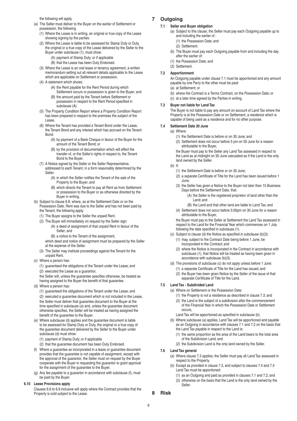the following will apply.

- (a) The Seller must deliver to the Buyer on the earlier of Settlement or possession, the following.
	- (1) Where the Lease is in writing, an original or true copy of the Lease showing signing by the parties.
	- (2) Where the Lease is liable to be assessed for Stamp Duty or Duty, the original or a true copy of the Lease delivered by the Seller to the Buyer under subclause (1), must show:
		- (A) payment of Stamp Duty; or if applicable
		- (B) that the Lease has been Duty Endorsed.
	- (3) Where the Lease is an oral lease or tenancy agreement, a written memorandum setting out all relevant details applicable to the Lease which are applicable on Settlement or possession.
	- (4) A statement which shows:
		- (A) the Rent payable for the Rent Period during which Settlement occurs or possession is given to the Buyer; and
		- (B) the amount paid by the Tenant before Settlement or possession in respect to the Rent Period specified in subclause (A).
	- (5) The Property Condition Report where a Property Condition Report has been prepared in respect to the premises the subject of the Lease.
	- (6) Where the Tenant has provided a Tenant Bond under the Lease, the Tenant Bond and any interest which has accrued on the Tenant Bond:
		- (A) by payment of a Bank Cheque in favour of the Buyer for the amount of the Tenant Bond; or
		- (B) by the provision of documentation which will effect the transfer of, or the Seller's rights in respect to, the Tenant Bond to the Buyer.
	- (7) A Notice signed by the Seller or the Seller Representative, addressed to each Tenant, in a form reasonably determined by the Seller:
		- (A) in which the Seller notifies the Tenant of the sale of the Property to the Buyer; and
		- (B) which directs the Tenant to pay all Rent as from Settlement or possession to the Buyer or as otherwise directed by the Buyer in writing.
- (b) Subject to clause 6.8, where, as at the Settlement Date or on the Possession Date, Rent was due to the Seller and has not been paid by
	- the Tenant, the following apply.
	- (1) The Buyer assigns to the Seller the unpaid Rent.
	- (2) The Buyer will immediately on request by the Seller sign:
		- (A) a deed of assignment of that unpaid Rent in favour of the Seller; and
			- (B) a notice to the Tenant of the assignment,
		- which deed and notice of assignment must be prepared by the Seller at the expense of the Seller.
	- (3) The Seller may institute proceedings against the Tenant for the unpaid Rent.
- (c) Where a person has:
	- (1) guaranteed the obligations of the Tenant under the Lease; and
	- (2) executed the Lease as a guarantor,
	- the Seller will, unless the guarantee specifies otherwise, be treated as having assigned to the Buyer the benefit of that guarantee.
- (d) Where a person has:
	- (1) guaranteed the obligations of the Tenant under the Lease; and (2) executed a guarantee document which is not included in the Lease, the Seller must deliver that guarantee document to the Buyer at the time specified in subclause (a) and, unless the guarantee document otherwise specifies, the Seller will be treated as having assigned the
- benefit of the guarantee to the Buyer. (e) Where subclause (d) applies and the guarantee document is liable to be assessed for Stamp Duty or Duty, the original or a true copy of the guarantee document delivered by the Seller to the Buyer under subclause (d) must show:
	- (1) payment of Stamp Duty; or if applicable
	- (2) that the guarantee document has been Duty Endorsed.
- (f) Where a guarantee as incorporated in a lease or guarantee document provides that the guarantee is not capable of assignment, except with the approval of the guarantor, the Seller must on request by the Buyer cooperate with the Buyer in requesting the guarantor to grant approval for the assignment of the guarantee to the Buyer.
- (g) Any fee payable to a guarantor in accordance with subclause (f), must be paid by the Buyer.

#### **6.10 Lease Provisions apply**

Clauses 6.6 to 6.9 inclusive will apply where the Contract provides that the Property is sold subject to the Lease.

# **7 Outgoing**

#### **7.1 Seller and Buyer obligation**

- (a) Subject to this clause, the Seller must pay each Outgoing payable up to and including the earlier of :
	- (1) the Possession Date; and
	- (2) Settlement.
	- (b) The Buyer must pay each Outgoing payable from and including the day after the earlier of:
	- (1) the Possession Date; and
	- (2) Settlement.

### **7.2 Apportionment**

An Outgoing payable under clause 7.1 must be apportioned and any amount payable by one Party to the other must be paid:

- (a) at Settlement; or
- (b) where the Contract is a Terms Contract, on the Possession Date; or
- (c) at a later time agreed by the Parties in writing.

### **7.3 Buyer not liable for Land Tax**

The Buyer is not liable to pay any amount on account of Land Tax where the Property is at the Possession Date or on Settlement, a residence which is capable of being used as a residence and for no other purpose.

#### **7.4 Settlement Date 30 June**

- (a) Where:
	- (1) the Settlement Date is before or on 30 June; and
	- (2) Settlement does not occur before 5 pm on 30 June for a reason attributable to the Buyer,
	- the Buyer must pay to the Seller any Land Tax assessed in respect to
	- the Land as at midnight on 30 June calculated as if the Land is the only land owned by the Seller.
	- (b) If:
		- (1) the Settlement Date is before or on 30 June;
		- (2) a separate Certificate of Title for the Land has been issued before 1 June;
		- (3) the Seller has given a Notice to the Buyer not later than 15 Business Days before the Settlement Date, that:
			- (A) the Seller is the registered proprietor of land other than the Land; and
			- (B) the Land and that other land are liable to Land Tax; and
		- (4) Settlement does not occur before 5:00pm on 30 June for a reason attributable to the Buyer,

the Buyer must pay to the Seller at Settlement the Land Tax assessed in respect to the Land for the Financial Year which commences on 1 July following the date specified in subclause (1).

- (c) Subject to clause (d) the Notice as specified in subclause (b)(3): (1) may, subject to the Contract Date being before 1 June, be
	- incorporated in the Contract; and
	- (2) where the Notice is incorporated in the Contract in accordance with subclause (1), that Notice will be treated as having been given in accordance with subclause (b)(3).
- (d) The provisions of subclause (c) do not apply unless before 1 June: (1) a separate Certificate of Title for the Land has issued; and
	- (2) the Buyer has been given Notice by the Seller of the issue of that separate Certificate of Title for the Land.

# **7.5 Land Tax - Subdivided Land**

- (a) Where on Settlement or the Possession Date:
	- (1) the Property is not a residence as described in clause 7.3; and
	- (2) the Land is the subject of a subdivision after the commencement of the Financial Year in which the Possession Date or Settlement occurs,
	- Land Tax will be apportioned as specified in subclause (b).
- (b) Where subclause (a) applies, Land Tax will be apportioned and payable as an Outgoing in accordance with clauses 7.1 and 7.2 on the basis that the Land Tax payable in respect to the Land is:
	- (1) the same proportion as the area of the Land bears to the total area of the Subdivision Land; and
	- (2) the Subdivision Land is the only land owned by the Seller.

# **7.6 Land Tax general**

- (a) Where clause 7.3 applies, the Seller must pay all Land Tax assessed in respect to the Property.
- (b) Except as provided in clause 7.3, and subject to clauses 7.4 and 7.5 Land Tax must be apportioned:
	- (1) as an Outgoing and paid as provided in clauses 7.1 and 7.2; and
	- (2) otherwise on the basis that the Land is the only land owned by the Seller.

# **8 Risk**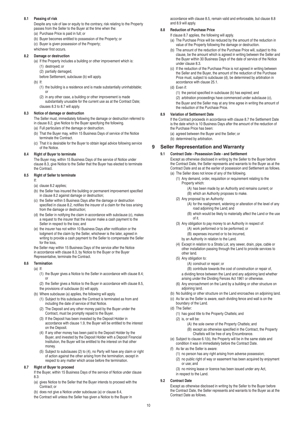# **8.1 Passing of risk**

Despite any rule of law or equity to the contrary, risk relating to the Property passes from the Seller to the Buyer at the time when the:

- (a) Purchase Price is paid in full; or
- (b) Buyer becomes entitled to possession of the Property; or
- (c) Buyer is given possession of the Property;
- whichever first occurs.

### **8.2 Damage or destruction**

(a) If the Property includes a building or other improvement which is: (1) destroyed; or

(2) partially damaged,

before Settlement, subclause (b) will apply.

- $(h)$  If
	- (1) the building is a residence and is made substantially uninhabitable; or
	- (2) in any other case, a building or other improvement is made substantially unusable for the current use as at the Contract Date; clauses 8.3 to 8.7 will apply.

#### **8.3 Notice of damage or destruction**

The Seller must, immediately following the damage or destruction referred to in clause 8.2, give Notice to the Buyer specifying the following.

- (a) Full particulars of the damage or destruction.
- (b) That the Buyer may, within 15 Business Days of service of the Notice terminate the Contract.
- (c) That it is desirable for the Buyer to obtain legal advice following service of the Notice.

#### **8.4 Right of Buyer to terminate**

The Buyer may, within 15 Business Days of the service of Notice under clause 8.3, give Notice to the Seller that the Buyer has elected to terminate the Contract.

#### **8.5 Right of Seller to terminate**

- If:
- (a) clause 8.2 applies;
- (b) the Seller has insured the building or permanent improvement specified in clause 8.2 against damage or destruction;
- (c) the Seller within 5 Business Days after the damage or destruction specified in clause 8.2, notifies the insurer of a claim for the loss arising from the damage or destruction;
- (d) the Seller in notifying the claim in accordance with subclause (c), makes a request to the insurer that the insurer make a cash payment to the Seller in respect to the loss; and
- (e) the insurer has not within 10 Business Days after notification or the lodgment of the claim by the Seller, whichever is the later, agreed in writing to provide a cash payment to the Seller to compensate the Seller for the loss,

the Seller may within 15 Business Days of the service after the Notice in accordance with clause 8.3, by Notice to the Buyer or the Buyer Representative, terminate the Contract.

# **8.6 Termination**

- $(a)$  If
	- (1) the Buyer gives a Notice to the Seller in accordance with clause 8.4; or
	- (2) the Seller gives a Notice to the Buyer in accordance with clause 8.5, the provisions of subclause (b) will apply.
- (b) Where subclause (a) applies, the following will apply.
	- (1) Subject to this subclause the Contract is terminated as from and including the date of service of that Notice.
	- (2) The Deposit and any other money paid by the Buyer under the Contract, must be promptly repaid to the Buyer.
	- (3) If the Deposit has been invested by the Deposit Holder in accordance with clause 1.9, the Buyer will be entitled to the interest on the Deposit.
	- (4) If any other money has been paid to the Deposit Holder by the Buyer, and invested by the Deposit Holder with a Deposit Financial Institution, the Buyer will be entitled to the interest on that other money.
	- (5) Subject to subclauses (2) to (4), no Party will have any claim or right of action against the other arising from the termination, except in respect to any matter which arose before the termination.

# **8.7 Right of Buyer to proceed**

If the Buyer, within 15 Business Days of the service of Notice under clause 8.3: (a) gives Notice to the Seller that the Buyer intends to proceed with the

Contract; or

(b) does not give a Notice under subclause (a) or clause 8.4,

the Contract will unless the Seller has given a Notice to the Buyer in

accordance with clause 8.5, remain valid and enforceable, but clause 8.8 and 8.9 will apply.

# **8.8 Reduction of Purchase Price**

- If clause 8.7 applies, the following will apply.
- (a) The Purchase Price will be reduced by the amount of the reduction in value of the Property following the damage or destruction.
- (b) The amount of the reduction of the Purchase Price will, subject to this clause, be the amount which is agreed in writing between the Seller and the Buyer within 30 Business Days of the date of service of the Notice under clause 8.3.
- (c) If the reduction of the Purchase Price is not agreed in writing between the Seller and the Buyer, the amount of the reduction of the Purchase Price must, subject to subclause (d), be determined by arbitration in accordance with clause 25.1.
- (d) Even if:
	- (1) the period specified in subclause (b) has expired; and
	- (2) arbitration proceedings have commenced under subclause (c),
	- the Buyer and the Seller may at any time agree in writing the amount of the reduction of the Purchase Price.

# **8.9 Variation of Settlement Date**

If the Contract proceeds in accordance with clause 8.7 the Settlement Date is the date which is 10 Business Days after the amount of the reduction of the Purchase Price has been:

- (a) agreed between the Buyer and the Seller; or
- (b) determined by arbitration.

# **9 Seller Representation and Warranty**

#### **9.1 Contract Date - Possession Date - and Settlement**

Except as otherwise disclosed in writing by the Seller to the Buyer before the Contract Date, the Seller represents and warrants to the Buyer as at the Contract Date and as at the earlier of possession and Settlement as follows. (a) The Seller does not know of any of the following.

- (1) Any demand, order, requisition or requirement relating to the Property which:
	- (A) has been made by an Authority and remains current; or (B) which an Authority proposes to make.
- (2) Any proposal by an Authority:
	- (A) for the realignment, widening or alteration of the level of any road adjoining the Land; and
	- (B) which would be likely to materially affect the Land or the use of it.
- (3) Any obligation to pay money to an Authority in respect of:
	- (A) work performed or to be performed; or
	- (B) expenses incurred or to be incurred,
	- by an Authority in relation to the Land.
- (4) Except in relation to a Strata Lot, any sewer, drain, pipe, cable or other installation passing through the Land to provide services to other land.
- (5) Any obligation to:
	- (A) construct or repair; or

(B) contribute towards the cost of construction or repair of, a dividing fence between the Land and any adjoining land whether arising under the Dividing Fences Act 1961 or otherwise.

- (6) Any encroachment on the Land by a building or other structure on adioining land.
- (b) No building or other structure on the Land encroaches on adjoining land.
- (c) As far as the Seller is aware, each dividing fence and wall is on the boundary of the Land.
- (d) The Seller:
	- (1) has good title to the Property Chattels; and
	- (2) is, or will be:
		- (A) the sole owner of the Property Chattels; and
		- (B) except as otherwise specified in the Contract, the Property Chattels will be free of any Encumbrance.
- (e) Subject to clause 6.1(b), the Property will be in the same state and condition it was in immediately before the Contract Date.
- (f) As far as the Seller is aware:
	- (1) no person has any right arising from adverse possession; (2) no public right of way or easement has been acquired by enjoyment
	- or use; and
	- (3) no mining lease or licence has been issued under any Act, in respect to the Land.

# **9.2 Contract Date**

Except as otherwise disclosed in writing by the Seller to the Buyer before the Contract Date, the Seller represents and warrants to the Buyer as at the Contract Date as follows.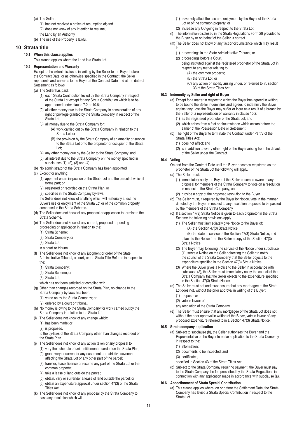- (a) The Seller:
	- (1) has not received a notice of resumption of; and
	- (2) does not know of any intention to resume,
- the Land by an Authority.
- (b) The use of the Property is lawful.

# **10 Strata title**

#### **10.1 When this clause applies**

This clause applies where the Land is a Strata Lot.

# **10.2 Representation and Warranty**

Except to the extent disclosed in writing by the Seller to the Buyer before the Contract Date, or as otherwise specified in the Contract, the Seller represents and warrants to the Buyer at the Contract Date and at the date of Settlement as follows.

- (a) The Seller has paid:
	- (1) each Strata Contribution levied by the Strata Company in respect of the Strata Lot except for any Strata Contribution which is to be apportioned under clause 7.2 or 10.6;
	- (2) all other money due to the Strata Company in consideration of any right or privilege granted by the Strata Company in respect of the Strata Lot;
	- (3) all money due to the Strata Company for:
		- (A) work carried out by the Strata Company in relation to the Strata Lot; or
			- (B) the provision by the Strata Company of an amenity or service to the Strata Lot or to the proprietor or occupier of the Strata Lot;
	- (4) any other money due by the Seller to the Strata Company; and
	- (5) all interest due to the Strata Company on the money specified in subclauses (1), (2), (3) and (4).
- (b) No administrator of the Strata Company has been appointed.
- (c) Except for anything:
	- (1) apparent on an inspection of the Strata Lot and the parcel of which it forms part; or
	- (2) registered or recorded on the Strata Plan; or
	- (3) specified in the Strata Company by-laws,
	- the Seller does not know of anything which will materially affect the Buyer's use or enjoyment of the Strata Lot or of the common property comprised in the Strata Scheme.
- (d) The Seller does not know of any proposal or application to terminate the Strata Scheme.
- (e) The Seller does not know of any current, proposed or pending proceeding or application in relation to the:
	- (1) Strata Scheme;
	- (2) Strata Company; or
	- (3) Strata Lot,
	- in a court or tribunal.
- (f) The Seller does not know of any judgment or order of the State Administrative Tribunal, a court, or the Strata Title Referee in respect to the:
	- (1) Strata Company;
	- (2) Strata Scheme; or
	- (3) Strata Lot
	- which has not been satisfied or complied with.
- (g) Other than changes recorded on the Strata Plan, no change to the Strata Company by-laws has been:
	- (1) voted on by the Strata Company; or
	- (2) ordered by a court or tribunal.
- (h) No money is owing to the Strata Company for work carried out by the Strata Company in relation to the Strata Lot.
- The Seller does not know of any change which:
	- (1) has been made; or
	- (2) is proposed,

to the by-laws of the Strata Company other than changes recorded on the Strata Plan.

- (j) The Seller does not know of any action taken or any proposal to :
	- (1) vary the schedule of unit entitlement recorded on the Strata Plan; (2) grant, vary or surrender any easement or restrictive covenant affecting the Strata Lot or any other part of the parcel;
	- (3) transfer, lease, licence or resume any part of the Strata Lot or the common property;
	- (4) take a lease of land outside the parcel;
	- (5) obtain, vary or surrender a lease of land outside the parcel; or
	- (6) obtain an expenditure approval under section 47(3) of the Strata Titles Act.
- (k) The Seller does not know of any proposal by the Strata Company to pass any resolution which will:
- (1) adversely affect the use and enjoyment by the Buyer of the Strata Lot or of the common property; or
- (2) increase any Outgoing in respect to the Strata Lot.
- (l) The information disclosed in the Strata Regulations Form 28 provided to the Buyer by or on behalf of the Seller is correct.
- (m) The Seller does not know of any fact or circumstance which may result in:
	- (1) proceedings in the State Administrative Tribunal; or
	- (2) proceedings before a Court,
		- being instituted against the registered proprietor of the Strata Lot in respect to any matter relating to:
			- (A) the common property;
			- (B) the Strata Lot; or
			- (C) any action or liability arising under, or referred to in, section 33 of the Strata Titles Act.

#### **10.3 Indemnity by Seller and right of Buyer**

- (a) Except for a matter in respect to which the Buyer has agreed in writing to be bound the Seller indemnifies and agrees to indemnify the Buyer against any Loss the Buyer may suffer or incur as a result of a breach by the Seller of a representation or warranty in clause 10.2:
	- (1) as the registered proprietor of the Strata Lot; and
	- (2) which arises from a fact or circumstance which occurs before the earlier of the Possession Date or Settlement.
- (b) The right of the Buyer to terminate the Contract under Part V of the Strata Titles Act:
	- (1) does not affect; and
	- (2) is in addition to every other right of the Buyer arising from the default of the Seller under the Contract.
- **10.4 Voting**
	- On and from the Contract Date until the Buyer becomes registered as the proprietor of the Strata Lot the following will apply.
	- (a) The Seller must:
		- (1) immediately notify the Buyer if the Seller becomes aware of any proposal for members of the Strata Company to vote on a resolution in respect to the Strata Company; and
		- (2) provide a copy of the proposed resolution to the Buyer.
	- (b) The Seller must, if required by the Buyer by Notice, vote in the manner directed by the Buyer in respect to any resolution proposed to be passed by the members of the Strata Company.
	- (c) If a section 47(3) Strata Notice is given to each proprietor in the Strata Scheme the following provisions apply.
		- (1) The Seller must immediately give Notice to the Buyer of: (A) the Section 47(3) Strata Notice;

(B) the date of service of the Section 47(3) Strata Notice; and attach to the Notice from the Seller a copy of the Section 47(3) Strata Notice.

- (2) The Buyer may, following the service of the Notice under subclause (1), serve a Notice on the Seller directing the Seller to notify the council of the Strata Company that the Seller objects to the expenditure specified in the Section 47(3) Strata Notice.
- (3) Where the Buyer gives a Notice to the Seller in accordance with subclause (2), the Seller must immediately notify the council of the Strata Company that the Seller objects to the expenditure specified in the Section 47(3) Strata Notice.
- (d) The Seller must not and must ensure that any mortgagee of the Strata Lot does not, without the prior approval in writing of the Buyer: (1) propose; or
	- (2) vote in favour of,
	- any resolution of the Strata Company.
- (e) The Seller must ensure that any mortgagee of the Strata Lot does not, without the prior approval in writing of the Buyer, vote in favour of any proposed expenditure referred to in a Section 47(3) Strata Notice.

#### **10.5 Strata company application**

- (a) Subject to subclause (b), the Seller authorises the Buyer and the Representative of the Buyer to make application to the Strata Company in respect to the:
	- (1) information;
	- (2) documents to be inspected; and
	- (3) certificates,
	- specified in Section 43 of the Strata Titles Act.
- (b) Subject to the Strata Company requiring payment, the Buyer must pay to the Strata Company the fee prescribed by the Strata Regulations in connection with any application made in accordance with subclause (a).

#### **10.6 Apportionment of Strata Special Contribution**

(a) This clause applies where, on or before the Settlement Date, the Strata Company has levied a Strata Special Contribution in respect to the Strata Lot.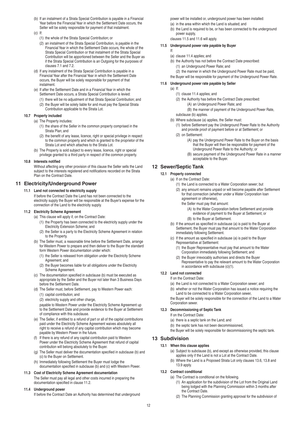- (b) If an instalment of a Strata Special Contribution is payable in a Financial Year before the Financial Year in which the Settlement Date occurs, the Seller will be solely responsible for payment of that instalment.
- $(c)$  If:
	- (1) the whole of the Strata Special Contribution; or
	- (2) an instalment of the Strata Special Contribution, is payable in the Financial Year in which the Settlement Date occurs, the whole of the Strata Special Contribution or that instalment of the Strata Special Contribution will be apportioned between the Seller and the Buyer as if the Strata Special Contribution is an Outgoing for the purposes of clauses 7.1 and 7.2.
- (d) If any instalment of the Strata Special Contribution is payable in a Financial Year after the Financial Year in which the Settlement Date occurs, the Buyer will be solely responsible for payment of that instalment.
- (e) If after the Settlement Date and in a Financial Year in which the Settlement Date occurs, a Strata Special Contribution is levied:
	- (1) there will be no adjustment of that Strata Special Contribution; and
	- (2) the Buyer will be solely liable for and must pay the Special Strata Contribution applicable to the Strata Lot.

#### **10.7 Property included**

(a) The Property includes:

- (1) the share of the Seller in the common property comprised in the Strata Plan; and
- (2) the benefit of any lease, licence, right or special privilege in respect to the common property and which is granted to the proprietor of the Strata Lot and which attaches to the Strata Lot.
- (b) The Property is sold subject to every lease, licence, right or special privilege granted to a third party in respect of the common property.

# **10.8 Interests notified**

Without affecting any other provision of this clause the Seller sells the Land subject to the interests registered and notifications recorded on the Strata Plan on the Contract Date.

# **11 Electricity/Underground Power**

**11.1 Land not connected to electricity supply** If before the Contract Date the Land has not been connected to the electricity supply the Buyer will be responsible at the Buyer's expense for the connection of the Land to the electricity supply.

#### **11.2 Electricity Scheme Agreement**

- (a) This clause will apply if, on the Contract Date:
	- (1) the Property has been connected to the electricity supply under the Electricity Extension Scheme; and
	- (2) the Seller is a party to the Electricity Scheme Agreement in relation to the Property.
- (b) The Seller must, a reasonable time before the Settlement Date, arrange for Western Power to prepare and then deliver to the Buyer the standard form Western Power documentation under which:
	- (1) the Seller is released from obligation under the Electricity Scheme Agreement; and
	- (2) the Buyer becomes liable for all obligations under the Electricity Scheme Agreement.
- (c) The documentation specified in subclause (b) must be executed as appropriate by the Seller and the Buyer not later than 3 Business Days before the Settlement Date.
- (d) The Seller must, before Settlement, pay to Western Power each: (1) capital contribution; and
	- (2) electricity supply and other charge,

payable to Western Power under the Electricity Scheme Agreement up to the Settlement Date and provide evidence to the Buyer at Settlement of compliance with this subclause.

- (e) The Seller, if entitled to a refund of part or all of the capital contributions paid under the Electricity Scheme Agreement waives absolutely all right to receive a refund of any capital contribution which may become payable by Western Power in the future.
- (f) If there is any refund of any capital contribution paid to Western Power under the Electricity Scheme Agreement that refund of capital contribution will belong absolutely to the Buyer.
- (g) The Seller must deliver the documentation specified in subclause (b) and (c) to the Buyer on Settlement.
- (h) Immediately following Settlement the Buyer must lodge the documentation specified in subclause (b) and (c) with Western Power.
- **11.3 Cost of Electricity Scheme Agreement documentation** The Seller must pay all legal and other costs incurred in preparing the documentation specified in clause 11.2.
- **11.4 Underground power**

If before the Contract Date an Authority has determined that underground

power will be installed or, underground power has been installed: (a) in the area within which the Land is situated; and

(b) the Land is required to be, or has been connected to the underground power supply,

clauses 11.5 and 11.6 will apply.

### **11.5 Underground power rate payable by Buyer**

- If: (a) clause 11.4 applies; and
- (b) the Authority has not before the Contract Date prescribed: (1) an Underground Power Rate; and
	- (2) the manner in which the Underground Power Rate must be paid,
- the Buyer will be responsible for payment of the Underground Power Rate.

# **11.6 Underground power rate payable by Seller**

- (a) If:
	- (1) clause 11.4 applies; and
	- (2) the Authority has before the Contract Date prescribed:
		- (A) an Underground Power Rate; and (B) the manner of payment of the Underground Power Rate,
	- subclause (b) applies.
	- (b) Where subclause (a) applies, the Seller must:
		- (1) before Settlement pay the Underground Power Rate to the Authority and provide proof of payment before or at Settlement; or
		- (2) on Settlement:
			- (A) pay the Underground Power Rate to the Buyer on the basis that the Buyer will then be responsible for payment of the Underground Power Rate to the Authority; or
			- (B) secure payment of the Underground Power Rate in a manner acceptable to the Buyer.

# **12 Sewer/Septic Tank**

**12.1 Property connected**

- (a) If on the Contract Date:
	- (1) the Land is connected to a Water Corporation sewer; but
	- (2) any amount remains unpaid or will become payable after Settlement for that connection (whether under a Water Corporation loan agreement or otherwise).
		- the Seller must pay that amount:
			- (A) to the Water Corporation before Settlement and provide evidence of payment to the Buyer at Settlement; or (B) to the Buyer at Settlement.
	- (b) If the amount as specified in subclause (a) is paid to the Buyer at Settlement, the Buyer must pay that amount to the Water Corporation immediately following Settlement.
	- (c) If the amount as specified in subclause (a) is paid to the Buyer Representative at Settlement:
		- (1) the Buyer Representative must pay that amount to the Water Corporation immediately following Settlement; and
		- (2) the Buyer irrevocably authorises and directs the Buyer Representative to pay the relevant amount to the Water Corporation in accordance with subclause (c)(1).

# **12.2 Land not connected**

- If on the Contract Date:
- (a) the Land is not connected to a Water Corporation sewer; and
- (b) whether or not the Water Corporation has issued a notice requiring the Land to be connected to a Water Corporation sewer,

the Buyer will be solely responsible for the connection of the Land to a Water Corporation sewer.

# **12.3 Decommissioning of Septic Tank**

- If on the Contract Date:
- (a) there is a septic tank on the Land; and
- (b) the septic tank has not been decommissioned,
- the Buyer will be solely responsible for decommissioning the septic tank.

# **13 Subdivision**

# **13.1 When this clause applies**

- (a) Subject to subclause (b), and except as otherwise provided, this clause applies only if the Land is not a Lot at the Contract Date.
- (b) Where the Land is a Proposed Strata Lot only clauses 13.6, 13.8 and 13.9 apply.

# **13.2 Contract conditional**

- (a) The Contract is conditional on the following.
	- (1) An application for the subdivision of the Lot from the Original Land being lodged with the Planning Commission within 3 months after the Contract Date.
	- (2) The Planning Commission granting approval for the subdivision of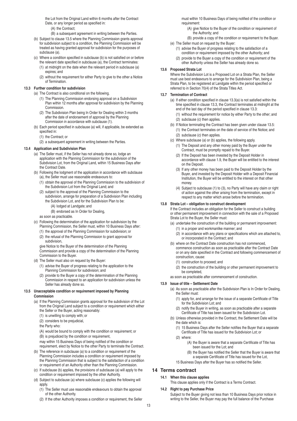the Lot from the Original Land within 6 months after the Contract Date, or any longer period as specified in:

- (A) the Contract;
- (B) a subsequent agreement in writing between the Parties.
- (b) Subject to clause 13.5 where the Planning Commission grants approval for subdivision subject to a condition, the Planning Commission will be treated as having granted approval for subdivision for the purposes of subclause (a).
- (c) Where a condition specified in subclause (b) is not satisfied on or before
	- the relevant date specified in subclause (a), the Contract terminates: (1) at midnight on the date when the relevant period in subclause (a) expires; and
	- (2) without the requirement for either Party to give to the other a Notice of Termination.

#### **13.3 Further condition for subdivision**

- (a) The Contract is also conditional on the following.
	- (1) The Planning Commission endorsing approval on a Subdivision Plan within 12 months after approval for subdivision by the Planning Commission.
	- (2) The Subdivision Plan being In Order for Dealing within 3 months after the date of endorsement of approval by the Planning Commission in accordance with subclause (1).
- (b) Each period specified in subclause (a) will, if applicable, be extended as specified in:
	- (1) the Contract; or
	- (2) a subsequent agreement in writing between the Parties.

#### **13.4 Application and Subdivision Plan**

- (a) The Seller must, if the Seller has not already done so, lodge an application with the Planning Commission for the subdivision of the Subdivision Lot, from the Original Land, within 15 Business Days after the Contract Date.
- (b) Following the lodgment of the application in accordance with subclause (a), the Seller must use reasonable endeavours to:
	- (1) obtain the approval of the Planning Commission to the subdivision of the Subdivision Lot from the Original Land; and
	- (2) subject to the approval of the Planning Commission to the subdivision, arrange for preparation of a Subdivision Plan including the Subdivision Lot, and for the Subdivision Plan to be:
		- (A) lodged at Landgate; and
		- (B) endorsed as In Order for Dealing,

as soon as practicable.

- (c) Following the determination of the application for subdivision by the Planning Commission, the Seller must, within 10 Business Days after:
	- (1) the approval of the Planning Commission for subdivision; or
	- (2) the refusal of the Planning Commission to grant approval for subdivision,

give Notice to the Buyer of the determination of the Planning Commission and provide a copy of the determination of the Planning Commission to the Buyer.

- (d) The Seller must also on request by the Buyer:
	- (1) advise the Buyer of progress relating to the application to the Planning Commission for subdivision; and
	- (2) provide to the Buyer a copy of the determination of the Planning Commission in respect to an application for subdivision unless the Seller has already done so.

#### **13.5 Unacceptable condition or requirement imposed by Planning Commission**

- (a) If the Planning Commission grants approval for the subdivision of the Lot from the Original Land subject to a condition or requirement which either the Seller or the Buyer, acting reasonably:
	- (1) is unwilling to comply with; or
	- (2) considers to be prejudicial,
	- the Party who:

(A) would be bound to comply with the condition or requirement; or

- (B) is prejudiced by the condition or requirement,
- may within 15 Business Days of being notified of the condition or requirement, elect by Notice to the other Party to terminate the Contract.
- (b) The reference in subclause (a) to a condition or requirement of the Planning Commission includes a condition or requirement imposed by the Planning Commission that is subject to the satisfaction of a condition or requirement of an Authority other than the Planning Commission.
- (c) If subclause (b) applies, the provisions of subclause (a) will apply to the condition or requirement imposed by the other Authority.
- (d) Subject to subclause (a) where subclause (c) applies the following will apply.
	- (1) The Seller must use reasonable endeavours to obtain the approval of the other Authority.
	- (2) If the other Authority imposes a condition or requirement, the Seller

must within 10 Business Days of being notified of the condition or requirement:

- (A) give Notice to the Buyer of the condition or requirement of the Authority; and
- (B) provide a copy of the condition or requirement to the Buyer. (e) The Seller must on request by the Buyer:
	- (1) advise the Buyer of progress relating to the satisfaction of a condition or requirement imposed by the other Authority; and
	- (2) provide to the Buyer a copy of the condition or requirement of the other Authority unless the Seller has already done so.

#### **13.6 Proposed Strata Lot**

Where the Subdivision Lot is a Proposed Lot on a Strata Plan, the Seller must use best endeavours to arrange for the Subdivision Plan, being a Strata Plan, to be registered at Landgate within the period specified or referred to in Section 70(4) of the Strata Titles Act.

#### **13.7 Termination of Contract**

- (a) If either condition specified in clause 13.3(a) is not satisfied within the time specified in clause 13.3, the Contract terminates at midnight at the end of the last day of the period specified in clause 13.3:
	- (1) without the requirement for notice by either Party to the other; and (2) subclause (c) then applies.
- (b) If Notice terminating the Contract has been given under clause 13.5: (1) the Contract terminates on the date of service of the Notice; and (2) subclause (c) then applies.
- (c) Where subclause (a) or (b) applies, the following apply.
	- (1) The Deposit and any other money paid by the Buyer under the Contract, must be promptly repaid to the Buyer.
	- (2) If the Deposit has been invested by the Deposit Holder in accordance with clause 1.9, the Buyer will be entitled to the interest on the Deposit.
	- (3) If any other money has been paid to the Deposit Holder by the Buyer, and invested by the Deposit Holder with a Deposit Financial Institution, the Buyer will be entitled to the interest on that other money.
	- (4) Subject to subclause (1) to (3), no Party will have any claim or right of action against the other arising from the termination, except in respect to any matter which arose before the termination.

#### **13.8 Strata Lot – obligation to construct development**

If the Contract includes an obligation for the Seller to construct a building or other permanent improvement in connection with the sale of a Proposed Strata Lot to the Buyer, the Seller must:

- (a) undertake the construction of the building or permanent improvement: (1) in a proper and workmanlike manner; and
	- (2) in accordance with any plans or specifications which are attached to, or incorporated in the Contract; and
- (b) where on the Contract Date construction has not commenced, commence construction as soon as practicable after the Contract Date or on any date specified in the Contract and following commencement of construction, cause:
	- (1) construction to proceed; and
	- (2) the construction of the building or other permanent improvement to be completed,
- as soon as practicable after commencement of construction.

# **13.9 Issue of title – Settlement Date**

- (a) As soon as practicable after the Subdivision Plan is In Order for Dealing, the Seller must:
	- (1) apply for, and arrange for the issue of a separate Certificate of Title for the Subdivision Lot; and
	- (2) notify the Buyer in writing, as soon as practicable after a separate Certificate of Title has been issued for the Subdivision Lot.
- (b) Unless otherwise provided in the Contract, the Settlement Date will be the date which is:
	- (1) 15 Business Days after the Seller notifies the Buyer that a separate Certificate of Title has issued for the Subdivision Lot; or
	- (2) where:
		- (A) the Buyer is aware that a separate Certificate of Title has been issued for the Lot; and
		- (B) the Buyer has notified the Seller that the Buyer is aware that a separate Certificate of Title has issued for the Lot,
	- 15 Business Days after the Buyer has so notified the Seller.

# **14 Terms contract**

- **14.1 When this clause applies**
	- This clause applies only if the Contract is a Terms Contract.

#### **14.2 Right to pay Purchase Price**

Subject to the Buyer giving not less than 10 Business Days prior notice in writing to the Seller, the Buyer may pay the full balance of the Purchase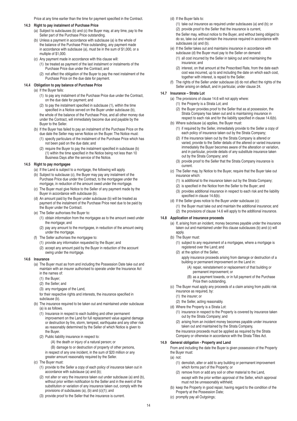Price at any time earlier than the time for payment specified in the Contract.

#### **14.3 Right to pay instalment of Purchase Price**

- (a) Subject to subclauses (b) and (c) the Buyer may, at any time, pay to the Seller part of the Purchase Price outstanding.
- (b) Unless a payment in accordance with subclause (a) is the whole of the balance of the Purchase Price outstanding, any payment made in accordance with subclause (a), must be in the sum of \$1,000, or a multiple of \$1,000.
- (c) Any payment made in accordance with this clause will:
	- (1) be treated as payment of the last instalment or instalments of the Purchase Price due under the Contract; and
	- (2) not affect the obligation of the Buyer to pay the next instalment of the Purchase Price on the due date for payment.

#### **14.4 Obligation to pay balance of Purchase Price**

- (a) If the Buyer fails:
	- (1) to pay any instalment of the Purchase Price due under the Contract, on the due date for payment; and
	- (2) to pay the instalment specified in subclause (1), within the time specified in a Notice served on the Buyer under subclause (b), the whole of the balance of the Purchase Price, and all other money due under the Contract, will immediately become due and payable by the Buyer to the Seller.
- (b) If the Buyer has failed to pay an instalment of the Purchase Price on the due date the Seller may serve Notice on the Buyer. The Notice must:
	- (1) specify particulars of the instalment of the Purchase Price which has not been paid on the due date; and
	- (2) require the Buyer to pay the instalment specified in subclause (b) (1) within the time specified in the Notice being not less than 10 Business Days after the service of the Notice.

#### **14.5 Right to pay mortgagee**

- (a) If the Land is subject to a mortgage, the following will apply.
- (b) Subject to subclause (c), the Buyer may pay any instalment of the Purchase Price due under the Contract, to the mortgagee under the mortgage, in reduction of the amount owed under the mortgage.
- (c) The Buyer must give Notice to the Seller of any payment made by the Buyer in accordance with subclause (b).
- (d) An amount paid by the Buyer under subclause (b) will be treated as payment of the instalment of the Purchase Price next due to be paid by the Buyer under the Contract.
- (e) The Seller authorises the Buyer to:
	- (1) obtain information from the mortgagee as to the amount owed under the mortgage; and
	- (2) pay any amount to the mortgagee, in reduction of the amount owing under the mortgage.
- (f) The Seller authorises the mortgagee to:
	- (1) provide any information requested by the Buyer; and
	- (2) accept any amount paid by the Buyer in reduction of the account owing under the mortgage.

#### **14.6 Insurance**

- (a) The Buyer must as from and including the Possession Date take out and maintain with an insurer authorised to operate under the Insurance Act in the names of:
	- (1) the Buyer;
	- (2) the Seller; and
	- (3) any mortgagee of the Land,
	- for their respective rights and interests, the insurance specified in subclause (b).
- (b) The insurance required to be taken out and maintained under subclause (a) is as follows.
	- (1) Insurance in respect to each building and other permanent improvement on the Land for full replacement value against damage or destruction by fire, storm, tempest, earthquake and any other risk as reasonably determined by the Seller of which Notice is given to the Buyer.
	- (2) Public liability insurance in respect to:
		- (A) the death or injury of a natural person; or
		- (B) damage to or destruction of property of other persons,
		- in respect of any one incident, in the sum of \$20 million or any greater amount reasonably required by the Seller.
- (c) The Buyer must:
	- (1) provide to the Seller a copy of each policy of insurance taken out in accordance with subclause (a) and (b);
	- (2) not alter or vary the insurance taken out under subclause (a) and (b), without prior written notification to the Seller and in the event of the substitution or variation of any insurance taken out, comply with the provisions of subclauses (a), (b) and (c)(1); and
	- (3) provide proof to the Seller that the insurance is current.
- (d) If the Buyer fails to:
	- (1) take out insurance as required under subclauses (a) and (b); or
	- (2) provide proof to the Seller that the insurance is current,
	- the Seller may, without notice to the Buyer, and without being obliged to do so, take out and maintain the insurance required in accordance with subclauses (a) and (b).
- (e) If the Seller takes out and maintains insurance in accordance with subclause (d) the Buyer must pay to the Seller on demand:
	- (1) all cost incurred by the Seller in taking out and maintaining the insurance; and
	- (2) interest, on that amount at the Prescribed Rate, from the date each cost was incurred, up to and including the date on which each cost, together with interest, is repaid to the Seller.
- The rights of the Seller under subclause (d) do not affect the rights of the Seller arising on default, and in particular, under clause 24.

#### **14.7 Insurance – Strata Lot**

- (a) The provisions of clause 14.6 will not apply where:
	- (1) the Property is a Strata Lot; and
	- (2) the Buyer provides proof to the Seller that as at possession, the Strata Company has taken out and is maintaining insurance in respect to each risk and for the liability specified in clause 14.6(b).
- (b) Where subclause (a) applies, the Buyer must:
	- (1) if required by the Seller, immediately provide to the Seller a copy of each policy of insurance taken out by the Strata Company;
	- (2) if the insurance taken out by the Strata Company is altered or varied, provide to the Seller details of the altered or varied insurance immediately the Buyer becomes aware of the alteration or variation, and in particular, provide details of any substitute insurance taken out by the Strata Company; and
	- (3) provide proof to the Seller that the Strata Company insurance is current.
- (c) The Seller may, by Notice to the Buyer, require that the Buyer take out insurance which:
	- (1) is additional to the insurance taken out by the Strata Company;
	- (2) is specified in the Notice from the Seller to the Buyer; and
	- (3) provides additional insurance in respect to each risk and the liability specified in clause 14.6(b).
- (d) If the Seller gives notice to the Buyer under subclause (c): (1) the Buyer must take out and maintain the additional insurance; and (2) the provisions of clause 14.6 will apply to the additional insurance.

# **14.8 Application of insurance proceeds**

(a) If, arising from an incident, money becomes payable under the insurance taken out and maintained under this clause subclauses (b) and (c) will apply.

- (b) The Buyer must:
	- (1) subject to any requirement of a mortgagee, where a mortgage is registered over the Land; and
	- (2) at the option of the Seller,
		- apply insurance proceeds arising from damage or destruction of a building or permanent improvement on the Land in:
			- (A) repair, reinstatement or replacement of that building or permanent improvement; or
			- (B) as a payment towards, or in full payment of the Purchase Price then outstanding.
- (c) The Buyer must apply any proceeds of a claim arising from public risk insurance as required, by:
	- (1) the insurer; or
	- (2) the Seller, acting reasonably.
- (d) Where the Property is a Strata Lot:
	- (1) insurance in respect to the Property is covered by insurance taken out by the Strata Company; and
	- (2) arising from an incident money becomes payable under insurance taken out and maintained by the Strata Company,
	- the insurance proceeds must be applied as required by the Strata Company or otherwise in accordance with the Strata Titles Act.

#### **14.9 General obligation - Property and Land**

From and including the date the Buyer is given possession of the Property the Buyer must:

- (a) not:
	- (1) demolish, alter or add to any building or permanent improvement which forms part of the Property; or
	- (2) remove from or add any soil or other material to the Land, except with the prior written approval of the Seller, which approval must not be unreasonably withheld;
- (b) keep the Property in good repair, having regard to the condition of the Property at the Possession Date;
- (c) promptly pay all Outgoings;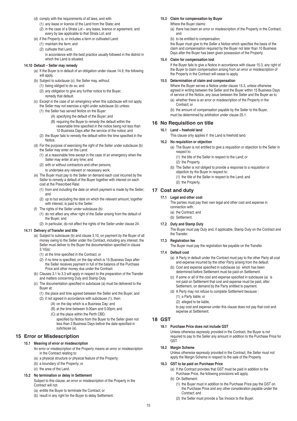- (d) comply with the requirements of all laws, and with:
	- (1) any lease or licence of the Land from the State; and
	- (2) in the case of a Strata Lot any lease, licence or agreement, and every by law applicable to that Strata Lot; and
- (e) if the Property is, or includes a farm or cultivated Land:
	- (1) maintain the farm; and
	- (2) cultivate that Land,

in accordance with the best practice usually followed in the district in which the Land is situated.

#### **14.10 Default – Seller may remedy**

- (a) If the Buyer is in default of an obligation under clause 14.9, the following will apply.
- (b) Subject to subclause (c), the Seller may, without:
	- (1) being obliged to do so; and
	- (2) any obligation to give any further notice to the Buyer, remedy that default.
- (c) Except in the case of an emergency when this subclause will not apply, the Seller may not exercise a right under subclause (b) unless:
	- (1) the Seller has served Notice on the Buyer:
		- (A) specifying the default of the Buyer; and
			- (B) requiring the Buyer to remedy the default within the
			- reasonable time specified in the notice being not less than 10 Business Days after the service of the notice; and
	- (2) the Buyer fails to remedy the default within the time specified in the **Notice**
- (d) For the purpose of exercising the right of the Seller under subclause (b) the Seller may enter on the Land:
	- (1) at a reasonable time except in the case of an emergency when the Seller may enter at any time; and
	- (2) with or without contractors and other persons,
	- to undertake any relevant or necessary work.
- (e) The Buyer must pay to the Seller on demand each cost incurred by the Seller to remedy a default of the Buyer together with interest on each cost at the Prescribed Rate:
	- (1) from and including the date on which payment is made by the Seller; and
	- (2) up to but excluding the date on which the relevant amount, together with interest, is paid to the Seller.
- (f) The rights of the Seller under subclause (b):
	- (1) do not affect any other right of the Seller arising from the default of the Buyer; and
	- (2) in particular, do not affect the rights of the Seller under clause 24.

#### **14.11 Delivery of Transfer and title**

- (a) Subject to subclause (b) and clause 3.10, on payment by the Buyer of all money owing to the Seller under the Contract, including any interest, the Seller must deliver to the Buyer the documentation specified in clause 3.10(a):
	- (1) at the time specified in the Contract; or
	- (2) if no time is specified, on the day which is 15 Business Days after the Seller receives payment in full of the balance of the Purchase Price and other money due under the Contract.
- (b) Clauses 3.1 to 3.3 will apply in respect to the preparation of the Transfer and matters concerning Duty and Stamp Duty.
- (c) The documentation specified in subclause (a) must be delivered to the Buyer at:
	- (1) the place and time agreed between the Seller and the Buyer; and
	- (2) if not agreed in accordance with subclause (1), then:
		- (A) on the day which is a Business Day; and
		- (B) at the time between 9.00am and 5.00pm; and
		- (C) at the place within the Perth CBD,
		- specified by Notice from the Buyer to the Seller given not less than 3 Business Days before the date specified in subclause (a).

# **15 Error or Misdescription**

#### **15.1 Meaning of error or misdescription**

- An error or misdescription of the Property means an error or misdescription in the Contract relating to:
- (a) a physical structure or physical feature of the Property;
- (b) a boundary of the Property; or
- (c) the area of the Land.

### **15.2 No termination or delay in Settlement**

Subject to this clause, an error or misdescription of the Property in the Contract will not:

- (a) entitle the Buyer to terminate the Contract; or
- (b) result in any right for the Buyer to delay Settlement.

# **15.3 Claim for compensation by Buyer**

- Where the Buyer claims:
- (a) there has been an error or misdescription of the Property in the Contract; and
- (b) to be entitled to compensation,

the Buyer must give to the Seller a Notice which specifies the basis of the claim and compensation required by the Buyer not later than 10 Business Days after the Buyer has been given possession of the Property.

#### **15.4 Claim for compensation lost**

If the Buyer fails to give a Notice in accordance with clause 15.3, any right of the Buyer to claim compensation arising from an error or misdescription of the Property in the Contract will cease to apply.

#### **15.5 Determination of claim and compensation**

Where the Buyer serves a Notice under clause 15.3, unless otherwise agreed in writing between the Seller and the Buyer within 15 Business Days of service of the Notice, any issue between the Seller and the Buyer as to:

(a) whether there is an error or misdescription of the Property in the Contract; or

(b) the amount of compensation payable by the Seller to the Buyer, must be determined by arbitration under clause 25.1.

# **16 No Requisition on title**

#### **16.1 Land – freehold land**

This clause only applies if the Land is freehold land.

# **16.2 No requisition or objection**

- (a) The Buyer is not entitled to give a requisition or objection to the Seller in respect to:
	- (1) the title of the Seller in respect to the Land; or
	- (2) the Property.
- (b) The Seller is not obliged to provide a response to a requisition or objection by the Buyer in respect to:
	- (1) the title of the Seller in respect to the Land; and
	- (2) the Property.

# **17 Cost and duty**

#### **17.1 Legal and other cost**

The parties must pay their own legal and other cost and expense in connection with:

- (a) the Contract; and
- (b) Settlement.
- **17.2 Duty and Stamp Duty**

The Buyer must pay Duty and, if applicable, Stamp Duty on the Contract and the Transfer.

#### **17.3 Registration fee**

The Buyer must pay the registration fee payable on the Transfer.

#### **17.4 Default cost**

- (a) A Party in default under the Contract must pay to the other Party all cost and expense incurred by the other Party arising from the default.
- (b) Cost and expense specified in subclause (a) which has been determined before Settlement must be paid on Settlement.
- (c) If some or all of the cost and expense specified in subclause (a) is not paid on Settlement that cost and expense must be paid, after Settlement, on demand by the Party entitled to payment.
- (d) A Party may not refuse to complete Settlement because :
	- (1) a Party liable; or
	- (2) alleged to be liable,

to pay cost and expense under this clause does not pay that cost and expense at Settlement.

# **18 GST**

#### **18.1 Purchase Price does not include GST**

Unless otherwise expressly provided in the Contract, the Buyer is not required to pay to the Seller any amount in addition to the Purchase Price for GST.

#### **18.2 Margin Scheme**

Unless otherwise expressly provided in the Contract, the Seller must not apply the Margin Scheme in respect to the sale of the Property.

# **18.3 GST to be paid on Purchase Price**

- (a) If the Contract provides that GST must be paid in addition to the Purchase Price, the following provisions will apply.
- (b) On Settlement:
	- (1) the Buyer must in addition to the Purchase Price pay the GST on the Purchase Price and any other consideration payable under the Contract; and
	- (2) the Seller must provide a Tax Invoice to the Buyer.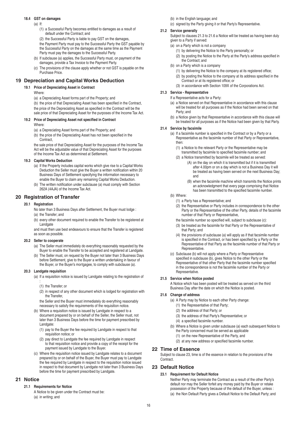# **18.4 GST on damages**

- $(a)$  If:
	- (1) a Successful Party becomes entitled to damages as a result of default under the Contract; and
	- (2) the Successful Party is liable to pay GST on the damages,

the Payment Party must pay to the Successful Party the GST payable by the Successful Party on the damages at the same time as the Payment Party must pay the damages to the Successful Party.

- (b) If subclause (a) applies, the Successful Party must, on payment of the damages, provide a Tax Invoice to the Payment Party.
- (c) The provisions of the clause apply whether or not GST is payable on the Purchase Price.

# **19 Depreciation and Capital Works Deduction**

# **19.1 Price of Depreciating Asset in Contract**

Where:

(a) a Depreciating Asset forms part of the Property; and

(b) the price of that Depreciating Asset has been specified in the Contract, the price of the Depreciating Asset as specified in the Contract will be the sale price of that Depreciating Asset for the purposes of the Income Tax Act.

# **19.2 Price of Depreciating Asset not specified in Contract**

Where:

- (a) a Depreciating Asset forms part of the Property; and
- (b) the price of the Depreciating Asset has not been specified in the Contract

the sale price of that Depreciating Asset for the purposes of the Income Tax Act will be the adjustable value of that Depreciating Asset for the purposes of the Income Tax Act as determined at Settlement.

#### **19.3 Capital Works Deduction**

- (a) If the Property includes capital works which give rise to a Capital Works Deduction the Seller must give the Buyer a written notification within 20 Business Days of Settlement specifying the information necessary to enable the Buyer to claim any remaining Capital Works Deduction.
- (b) The written notification under subclause (a) must comply with Section 262A (4AJA) of the Income Tax Act.

# **20 Registration of Transfer**

#### **20.1 Registration**

- No later than 3 Business Days after Settlement, the Buyer must lodge :
- (a) the Transfer; and
- (b) every other document required to enable the Transfer to be registered at Landgate

and must then use best endeavours to ensure that the Transfer is registered as soon as possible.

#### **20.2 Seller to cooperate**

- (a) The Seller must immediately do everything reasonably requested by the Buyer to enable the Transfer to be accepted and registered at Landgate.
- (b) The Seller must, on request by the Buyer not later than 3 Business Days before Settlement, give to the Buyer a written undertaking in favour of the Buyer, or the Buyer's mortgagee, to comply with subclause (a).

#### **20.3 Landgate requisition**

- (a) If a requisition notice is issued by Landgate relating to the registration of :
	- (1) the Transfer; or
	- (2) in respect of any other document which is lodged for registration with the Transfer,

the Seller and the Buyer must immediately do everything reasonably necessary to satisfy the requirements of the requisition notice.

- (b) Where a requisition notice is issued by Landgate in respect to a document prepared by or on behalf of the Seller, the Seller must, not later than 3 Business Days before the time for payment prescribed by Landgate:
	- (1) pay to the Buyer the fee required by Landgate in respect to that requisition notice; or
	- (2) pay direct to Landgate the fee required by Landgate in respect to that requisition notice and provide a copy of the receipt for the payment issued by Landgate to the Buyer.
- (c) Where the requisition notice issued by Landgate relates to a document prepared by or on behalf of the Buyer, the Buyer must pay to Landgate the fee required by Landgate in respect to the requisition notice issued in respect to that document by Landgate not later than 3 Business Days before the time for payment prescribed by Landgate.

# **21 Notice**

# **21.1 Requirements for Notice**

A Notice to be given under the Contract must be: (a) in writing; and

- (b) in the English language; and
- (c) signed by the Party giving it or that Party's Representative.

# **21.2 Service generally**

Subject to clauses 21.3 to 21.6 a Notice will be treated as having been duly given to a Party if served:

- (a) on a Party which is not a company
	- (1) by delivering the Notice to the Party personally; or
	- (2) by posting the Notice to the Party at the Party's address specified in the Contract; and
- (b) on a Party which is a company
	- (1) by delivering the Notice to the company at its registered office;
	- (2) by posting the Notice to the company at its address specified in the Contract or at its registered office; or
	- (3) in accordance with Section 109X of the Corporations Act.

#### **21.3 Service - Representative**

If a Representative acts for a Party:

- (a) a Notice served on that Representative in accordance with this clause will be treated for all purposes as if the Notice had been served on that Party; and
- (b) a Notice given by that Representative in accordance with this clause will be treated for all purposes as if the Notice had been given by that Party.

# **21.4 Service by facsimile**

(a) If a facsimile number is specified in the Contract or by a Party or a Representative as the facsimile number of that Party or Representative, then:

- (1) a Notice to the relevant Party or the Representative may be transmitted by facsimile to specified facsimile number; and
- (2) a Notice transmitted by facsimile will be treated as served:
	- (A) on the day on which it is transmitted but if it is transmitted after 4.00pm or on a day which is not a Business Day it will be treated as having been served on the next Business Day; and
		- (B) when the facsimile machine which transmits the Notice prints an acknowledgment that every page comprising that Notice has been transmitted to the specified facsimile number.
- (b) Where:
	- (1) a Party has a Representative; and
	- (2) the Representative or Party includes in correspondence to the other Party or the Representative of the other Party, details of the facsimile number of that Party or Representative,
	- the facsimile number so specified will, subject to subclause (c):
	- (3) be treated as the facsimile for that Party or the Representative of that Party; and
	- (4) the provisions of subclause (a) will apply as if that facsimile number is specified in the Contract, or has been specified by a Party or the Representative of that Party as the facsimile number of that Party or Representative.
- (c) Subclause (b) will not apply where a Party or Representative specified in subclause (b), gives Notice to the other Party or the Representative of that other Party that the facsimile number specified in the correspondence is not the facsimile number of the Party or Representative.

# **21.5 Service when Notice posted**

A Notice which has been posted will be treated as served on the third Business Day after the date on which the Notice is posted.

#### **21.6 Change of address**

- (a) A Party may by Notice to each other Party change:
	- (1) the Representative of that Party;
	- (2) the address of that Party; or
	- (3) the address of that Party's Representative; or
	- (4) a specified facsimile number.
- (b) Where a Notice is given under subclause (a) each subsequent Notice to the Party concerned must be served as applicable
	- (1) on the new Representative of the Party, and
	- (2) at any new address or specified facsimile number.

# **22 Time of Essence**

Subject to clause 23, time is of the essence in relation to the provisions of the **Contract** 

# **23 Default Notice**

### **23.1 Requirement for Default Notice**

Neither Party may terminate the Contract as a result of the other Party's default nor may the Seller forfeit any money paid by the Buyer or retake possession of the Property because of the default of the Buyer, unless : (a) the Non Default Party gives a Default Notice to the Default Party; and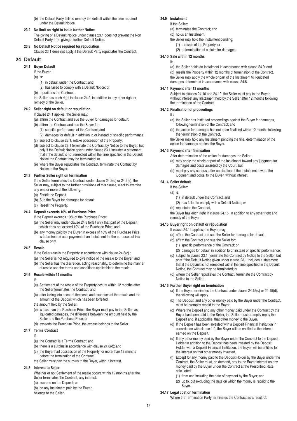(b) the Default Party fails to remedy the default within the time required under the Default Notice.

### **23.2 No limit on right to issue further Notice**

The giving of a Default Notice under clause 23.1 does not prevent the Non Default Party from giving a further Default Notice.

# **23.3 No Default Notice required for repudiation**

Clause 23.1 does not apply if the Default Party repudiates the Contract.

# **24 Default**

#### **24.1 Buyer Default**

If the Buyer :

- $(a)$  is
	- (1) in default under the Contract; and
- (2) has failed to comply with a Default Notice; or
- (b) repudiates the Contract,

the Seller has each right in clause 24.2, in addition to any other right or remedy of the Seller.

# **24.2 Seller right on default or repudiation**

### If clause 24.1 applies, the Seller may:

(a) affirm the Contract and sue the Buyer for damages for default;

- (b) affirm the Contract and sue the Buyer for:
	- (1) specific performance of the Contract; and
	- (2) damages for default in addition to or instead of specific performance;
- (c) subject to clause 23.1, retake possession of the Property;
- (d) subject to clause 23.1 terminate the Contract by Notice to the Buyer, but only if the Default Notice given under clause 23.1 includes a statement that if the default is not remedied within the time specified in the Default Notice the Contract may be terminated; or
- (e) where the Buyer repudiates the Contract, terminate the Contract by Notice to the Buyer.

# **24.3 Further Seller right on termination**

If the Seller terminates the Contract under clause 24.2(d) or 24.2(e), the Seller may, subject to the further provisions of this clause, elect to exercise any one or more of the following.

- (a) Forfeit the Deposit.
- (b) Sue the Buyer for damages for default.
- (c) Resell the Property.

# **24.4 Deposit exceeds 10% of Purchase Price**

- If the Deposit exceeds 10% of the Purchase Price:
- (a) the Seller may under clause 24.3 forfeit only that part of the Deposit which does not exceed 10% of the Purchase Price; and
- (b) any money paid by the Buyer in excess of 10% of the Purchase Price, is to be treated as a payment of an Instalment for the purposes of this clause only.

### **24.5 Resale**

- If the Seller resells the Property in accordance with clause 24.3(c) :
- (a) the Seller is not required to give notice of the resale to the Buyer; and
- (b) the Seller has the discretion, acting reasonably, to determine the manner of resale and the terms and conditions applicable to the resale.

# **24.6 Resale within 12 months**

- If:
- (a) Settlement of the resale of the Property occurs within 12 months after the Seller terminates the Contract; and
- (b) after taking into account the costs and expenses of the resale and the amount of the Deposit which has been forfeited,
- the amount held by the Seller:
- (c) is less than the Purchase Price, the Buyer must pay to the Seller, as liquidated damages, the difference between the amount held by the Seller and the Purchase Price; or
- (d) exceeds the Purchase Price, the excess belongs to the Seller.

# **24.7 Terms Contract**

- If :
- (a) the Contract is a Terms Contract; and
- (b) there is a surplus in accordance with clause 24.6(d); and
- (c) the Buyer had possession of the Property for more than 12 months before the termination of the Contract,
- the Seller must pay the surplus to the Buyer, without interest.

# **24.8 Interest to Seller**

Whether or not Settlement of the resale occurs within 12 months after the Seller terminates the Contract, any interest:

- (a) accrued on the Deposit; or
- (b) on any Instalment paid by the Buyer,

belongs to the Seller.

#### **24.9 Instalment** If the Seller:

- (a) terminates the Contract; and
- (b) holds an Instalment,
- the Seller may hold the Instalment pending:
	- (1) a resale of the Property; or
	- (2) determination of a claim for damages.

### **24.10 Sale within 12 months**

#### If:

- (a) the Seller holds an Instalment in accordance with clause 24.9; and
- (b) resells the Property within 12 months of termination of the Contract,
- the Seller may apply the whole or part of the Instalment to liquidated damages determined in accordance with clause 24.6.

#### **24.11 Payment after 12 months**

Subject to clauses 24.10 and 24.12, the Seller must pay to the Buyer, without interest any Instalment held by the Seller after 12 months following the termination of the Contract.

#### **24.12 Finalisation of proceedings**

- If :
- (a) the Seller has instituted proceedings against the Buyer for damages, following termination of the Contract; and
- (b) the action for damages has not been finalised within 12 months following the termination of the Contract,
- the Seller may hold any Instalment pending the final determination of the action for damages against the Buyer.

# **24.13 Payment after finalisation**

- After determination of the action for damages the Seller :
- (a) may apply the whole or part of the Instalment toward any judgment for damages and costs awarded by the Court; but
- (b) must pay any surplus, after application of the Instalment toward the judgment and costs, to the Buyer, without interest.

# **24.14 Seller default**

- If the Seller:
- (a) is:
	- (1) in default under the Contract; and
	- (2) has failed to comply with a Default Notice; or
- (b) repudiates the Contract,

the Buyer has each right in clause 24.15, in addition to any other right and remedy of the Buyer.

# **24.15 Buyer right on default or repudiation**

If clause 24.14 applies, the Buyer may:

- (a) affirm the Contract and sue the Seller for damages for default;
- (b) affirm the Contract and sue the Seller for:
	- (1) specific performance of the Contract; or
- (2) damages for default in addition to or instead of specific performance; (c) subject to clause 23.1, terminate the Contract by Notice to the Seller, but
- only if the Default Notice given under clause 23.1 includes a statement that if the Default is not remedied within the time specified in the Default Notice, the Contract may be terminated; or
- (d) where the Seller repudiates the Contract, terminate the Contract by Notice to the Seller.

# **24.16 Further Buyer right on termination**

- (a) If the Buyer terminates the Contract under clause 24.15(c) or 24.15(d), the following will apply.
- (b) The Deposit, and any other money paid by the Buyer under the Contract, must be promptly repaid to the Buyer.
- (c) Where the Deposit and any other money paid under the Contract by the Buyer has been paid to the Seller, the Seller must promptly repay the Deposit and, if applicable, that other money to the Buyer.
- (d) If the Deposit has been invested with a Deposit Financial Institution in accordance with clause 1.9, the Buyer will be entitled to the interest earned on the Deposit.
- (e) If any other money paid by the Buyer under the Contract to the Deposit Holder in addition to the Deposit has been invested by the Deposit Holder with a Deposit Financial Institution, the Buyer will be entitled to the interest on that other money invested.
- (f) Except for any money paid to the Deposit Holder by the Buyer under the Contract, the Seller must, on demand, pay to the Buyer interest on any money paid by the Buyer under the Contract at the Prescribed Rate, calculated:
	- (1) from and including the date of payment by the Buyer; and
	- (2) up to, but excluding the date on which the money is repaid to the Buyer.

#### **24.17 Legal cost on termination** Where the Termination Party terminates the Contract as a result of:

17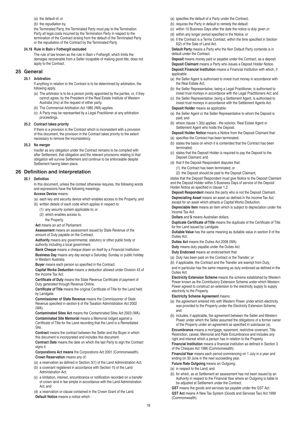(a) the default of; or

(b) the repudiation by,

the Terminated Party, the Terminated Party must pay to the Termination Party all legal costs incurred by the Termination Party in respect to the termination of the Contract arising from the default of the Terminated Party or the repudiation of the Contract by the Terminated Party.

#### **24.18 Rule in Bain v Fothergill excluded**

The rule of law known as the rule in Bain v Fothergill, which limits the damages recoverable from a Seller incapable of making good title, does not apply to the Contract.

# **25 General**

### **25.1 Arbitration**

If anything in relation to the Contract is to be determined by arbitration, the following apply.

- (a) The arbitrator is to be a person jointly appointed by the parties, or, if they cannot agree, by the President of the Real Estate Institute of Western Australia (Inc) at the request of either party.
- (b) The Commercial Arbitration Act 1985 (WA) applies.
- (c) A Party may be represented by a Legal Practitioner at any arbitration proceedings.

#### **25.2 Contract takes priority**

If there is a provision in the Contract which is inconsistent with a provision of this document, the provision in the Contract takes priority to the extent necessary to remove the inconsistency.

#### **25.3 No merger**

Insofar as any obligation under the Contract remains to be complied with after Settlement, that obligation and the relevant provisions relating to that obligation will survive Settlement and continue to be enforceable despite Settlement having taken place.

# **26 Definition and interpretation**

#### **26.1 Definition**

In this document, unless the context otherwise requires, the following words and expressions have the following meanings.

# **Access Device** means:

(a) each key and security device which enables access to the Property; and

- (b) written details of each code which applies in respect to:
	- (1) any security system applicable to; or
	- (2) which enables access to,
		- the Property.

**Act** means an act of Parliament.

**Assessment** means an assessment issued by State Revenue of the amount of Duty payable on the Contract.

**Authority** means any governmental, statutory or other public body or authority including a local government.

**Bank Cheque** means a cheque drawn on itself by a Financial Institution. **Business Day** means any day except a Saturday, Sunday or public holiday in Western Australia.

**Buyer** means each person so specified in the Contract.

**Capital Works Deduction** means a deduction allowed under Division 43 of the Income Tax Act.

**Certificate of Duty** means the State Revenue Certificate of payment of Duty generated through Revenue Online.

**Certificate of Title** means the original Certificate of Title for the Land held by Landgate.

**Commissioner of State Revenue** means the Commissioner of State Revenue specified in section 6 of the Taxation Administration Act 2002  $(MA)$ 

**Contaminated Sites Act** means the Contaminated Sites Act 2003 (WA). **Contaminated Site Memorial** means a Memorial lodged against a Certificate of Title for the Land recording that the Land is a Remediated Site.

**Contract** means the contract between the Seller and the Buyer in which this document is incorporated and includes this document.

**Contract Date** means the date on which the last Party to sign the Contract signs it.

**Corporations Act means** the Corporations Act 2001 (Commonwealth). **Crown Reservation** means any of:

- (a) a reservation as defined in Section 3(1) of the Land Administration Act;
- (b) a covenant registered in accordance with Section 15 of the Land Administration Act;
- (c) a limitation, interest, encumbrance or notification recorded on a transfer of crown land in fee simple in accordance with the Land Administration Act; and

(d) a reservation or clause contained in the Crown Grant of the Land. **Default Notice** means a notice which :

- (a) specifies the default of a Party under the Contract;
- (b) requires the Party in default to remedy the default:
- (c) within 10 Business Days after the date the notice is duly given or:
- (d) within any longer period specified in the Notice; or
- (e) if the Contract is a Terms Contract, within the time specified in Section 6(2) of the Sale of Land Act.

**Default Party** means a Party who the Non Default Party contends is in default under the Contract.

**Deposit** means money paid or payable under the Contract, as a deposit. **Deposit Claimant** means a Party who issues a Deposit Holder Notice. **Deposit Financial Institution** means a Financial Institution with which, if applicable:

- (a) the Seller Agent is authorised to invest trust money in accordance with the Real Estate Act;
- (b) the Seller Representative, being a Legal Practitioner, is authorised to invest trust moneys in accordance with the Legal Practitioners Act; and
- (c) the Seller Representative, being a Settlement Agent, is authorised to invest trust moneys in accordance with the Settlement Agents Act.

# **Deposit Holder** means as applicable:

- (a) the Seller Agent or the Seller Representative to whom the Deposit is paid; and
- (b) where clause 1.3(b) applies the solicitor, Real Estate Agent or Settlement Agent who holds the Deposit.

**Deposit Holder Notice** means a Notice from the Deposit Claimant that:

- (a) specifies the Contract has been terminated; (b) states the basis on which it is contended that the Contract has been terminated;
- (c) states that the Deposit Holder is required to pay the Deposit to the Deposit Claimant; and
- (d) that if the Deposit Respondent disputes that:
	- (1) the Contract has been terminated; or
	- (2) the Deposit should be paid to the Deposit Claimant,

states that the Deposit Respondent must give Notice to the Deposit Claimant and the Deposit Holder within 5 Business Days of service of the Deposit Holder Notice as specified in clause 1.2.

**Deposit Respondent** means the party who is not the Deposit Claimant. **Depreciating Asset** means an asset as defined in the Income Tax Act, except for an asset which attracts a Capital Works Deduction.

**Depreciable Item** means an item which is subject to depreciation under the Income Tax Act.

**Dollars** and **\$** means Australian dollars.

**Duplicate Certificate of Title** means the duplicate of the Certificate of Title for the Land issued by Landgate.

**Dutiable Value** has the same meaning as dutiable value in section 9 of the Duties Act.

**Duties Act** means the Duties Act 2008 (WA).

**Duty** means duty payable under the Duties Act.

**Duty Endorsed** means an endorsement that:

(a) Duty has been paid on the Contract or the Transfer; or

(b) if applicable, the Contract and the Transfer are exempt from Duty,

and in particular has the same meaning as duty endorsed as defined in the Duties Act.

**Electricity Extension Scheme** means the scheme established by Western Power known as the Contributory Extension Scheme under which Western Power agreed to construct an extension to the electricity supply to supply electricity to the Property.

#### **Electricity Scheme Agreement** means:

- (a) the agreement entered into with Western Power under which electricity was provided to the Property under the Electricity Extension Scheme; and
- (b) includes, if applicable, the agreement between the Seller and Western Power under which the Seller assumed the obligations of a former owner of the Property under an agreement as specified in subclause (a).

**Encumbrance** means a mortgage, easement, restrictive covenant, Title Restriction, caveat, Memorial and Rate Encumbrance and includes any right and interest which a person has in relation to the Property.

**Financial Institution** means a financial institution as defined in Section 3 of the Cheques Act 1986 (Commonwealth).

**Financial Year** means each period commencing on 1 July in a year and ending on 30 June in the next succeeding year.

**Future Rate Outgoing** means an Outgoing:

- (a) in respect to the Land; and
- (b) for which, as at Settlement an assessment has not been issued by an Authority in respect to the Financial Year where an Outgoing is liable to be adjusted at Settlement under the Contract.

**GST** means the goods and services tax payable under the GST Act **GST Act** means A New Tax System (Goods and Services Tax) Act 1999 (Commonwealth)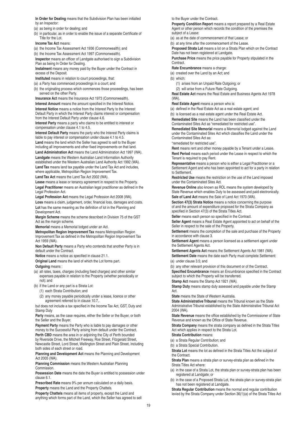**In Order for Dealing** means that the Subdivision Plan has been initialled by an Inspector:

(a) as being in order for dealing; and

(b) in particular, as in order to enable the issue of a separate Certificate of Title for the Lot.

**Income Tax Act** means:

(a) the Income Tax Assessment Act 1936 (Commonwealth); and

(b) the Income Tax Assessment Act 1997 (Commonwealth).

**Inspector** means an officer of Landgate authorised to sign a Subdivision Plan as being In Order for Dealing.

**Instalment** means any money paid by the Buyer under the Contract in excess of the Deposit.

**Instituted** means in relation to court proceedings, that:

(a) a Party has commenced proceedings in a court; and

(b) the originating process which commences those proceedings, has been served on the other Party.

**Insurance Act** means the Insurance Act 1973 (Commonwealth).

**Interest Amount** means the amount specified in the Interest Notice. **Interest Notice** means a notice from the Interest Party to the Interest Default Party in which the Interest Party claims interest or compensation from the Interest Default Party under clause 4.6.

**Interest Party** means a party who claims to be entitled to interest or compensation under clause 4.1 to 4.5.

**Interest Default Party** means the party who the Interest Party claims is liable to pay interest or compensation under clause 4.1 to 4.5.

**Land** means the land which the Seller has agreed to sell to the Buyer including all improvements and other fixed improvements on that land. **Land Administration Act** means the Land Administration Act 1997 (WA). **Landgate** means the Western Australian Land Information Authority established under the Western Australian Land Authority Act 1992 (WA). **Land Tax** means land tax payable under the Land Tax Act and includes,

where applicable, Metropolitan Region Improvement Tax. **Land Tax Act** means the Land Tax Act 2002 (WA).

**Lease** means a lease or tenancy agreement in respect to the Property. **Legal Practitioner** means an Australian legal practitioner as defined in the Legal Profession Act.

**Legal Profession Act** means the Legal Profession Act 2008 (WA).

**Loss** means a claim, judgement, order, financial loss, damages and costs. **Lot** has the same meaning as the definition of lot in the Planning and Development Act.

**Margin Scheme** means the scheme described in Division 75 of the GST Act as the margin scheme.

**Memorial** means a Memorial lodged under an Act.

**Metropolitan Region Improvement Tax** means Metropolitan Region Improvement Tax as defined in the Metropolitan Region Improvement Tax Act 1959 (WA).

**Non Default Party** means a Party who contends that another Party is in default under the Contract.

**Notice** means a notice as specified in clause 21.1.

**Original Land** means the land of which the Lot forms part.

**Outgoing** means :

(a) all rates, taxes, charges (including fixed charges) and other similar expenses payable in relation to the Property (whether periodically or not); and

(b) if the Land or any part is a Strata Lot:

- (1) each Strata Contribution; and
- (2) any money payable periodically under a lease, licence or other agreement referred to in clause 10.7,.

but does not include a tax specified in the Income Tax Act, GST, Duty and Stamp Duty

**Party** means, as the case requires, either the Seller or the Buyer, or both the Seller and the Buyer.

**Payment Party** means the Party who is liable to pay damages or other money to the Successful Party arising from default under the Contract. Perth CBD means the area in or adjoining the City of Perth bounded by Riverside Drive, the Mitchell Freeway, Roe Street, Fitzgerald Street, Newcastle Street, Lord Street, Wellington Street and Plain Street, including

both sides of each street or road. **Planning and Development Act** means the Planning and Development Act 2005 (WA).

**Planning Commission** means the Western Australian Planning Commission.

**Possession Date** means the date the Buyer is entitled to possession under clause 6.1.

**Prescribed Rate** means 9% per annum calculated on a daily basis. **Property** means the Land and the Property Chattels.

**Property Chattels** means all items of property, except the Land and anything which forms part of the Land, which the Seller has agreed to sell to the Buyer under the Contract.

**Property Condition Report** means a report prepared by a Real Estate Agent or other person which records the condition of the premises the subject of a Lease:

(a) as at the date of commencement of that Lease; or

(b) at any time after the commencement of the Lease.

**Proposed Strata Lot** means a lot on a Strata Plan which on the Contract Date has not been registered at Landgate.

**Purchase Price** means the price payable for Property stipulated in the Contract.

**Rate Encumbrance** means a charge:

(a) created over the Land by an Act; and

(b) which:

(1) arises from an Unpaid Rate Outgoing; or

(2) will arise from a Future Rate Outgoing.

**Real Estate Act** means the Real Estate and Business Agents Act 1978  $(WA)$ 

**Real Estate Agent** means a person who is:

(a) defined in the Real Estate Act as a real estate agent; and

(b) is licensed as a real estate agent under the Real Estate Act.

**Remediated Site** means the Land has been classified under the Contaminated Sites Act as "remediated for restricted use".

**Remediated Site Memorial** means a Memorial lodged against the Land under the Contaminated Sites Act which classifies the Land under the Contaminated Sites Act as:

"remediated for restricted use".

**Rent** means rent and other money payable by a Tenant under a Lease. **Rent Period** means each period under the Lease in respect to which the Tenant is required to pay Rent.

**Representative** means a person who is either a Legal Practitioner or a Settlement Agent and who has been appointed to act for a party in relation to Settlement.

**Restricted Use** means the restriction on the use of the Land imposed under the Contaminated Sites Act.

**Revenue Online** also known as ROL means the system developed by State Revenue which enables Duty to be assessed and paid electronically. **Sale of Land Act** means the Sale of Land Act 1970 (WA).

**Section 47(3) Strata Notice** means a notice concerning the purpose of and the amount of expenditure proposed for the Strata Company as specified in Section 47(3) of the Strata Titles Act.

**Seller** means each person so specified in the Contract.

**Seller Agent** means a Real Estate Agent appointed to act on behalf of the Seller in respect to the sale of the Property.

**Settlement** means the completion of the sale and purchase of the Property in accordance with clause 3.

**Settlement Agent** means a person licensed as a settlement agent under the Settlement Agents Act.

**Settlement Agents Act** means the Settlement Agents Act 1981 (WA). **Settlement Date** means the date each Party must complete Settlement:

(a) under clause 3.5; and

(b) any other relevant provision of this document or of the Contract.

**Specified Encumbrance** means an Encumbrance specified in the Contract subject to which the Property will be transferred.

**Stamp Act** means the Stamp Act 1921 (WA).

**Stamp Duty** means stamp duty assessed and payable under the Stamp Act.

**State** means the State of Western Australia.

**State Administrative Tribunal** means the Tribunal known as the State Administrative Tribunal established by the State Administrative Tribunal Act 2004 (WA).

**State Revenue** means the office established by the Commissioner of State Revenue and known as the Office of State Revenue.

**Strata Company** means the strata company as defined in the Strata Titles Act which applies in respect to the Strata Lot.

**Strata Contribution** means:

(a) a Strata Regular Contribution; and

(b) a Strata Special Contribution.

**Strata Lot** means the lot as defined in the Strata Titles Act the subject of the Contract.

**Strata Plan** means a strata plan or survey-strata plan as defined in the Strata Titles Act where:

- (a) in the case of a Strata Lot, the strata plan or survey-strata plan has been registered at Landgate; or
- (b) in the case of a Proposed Strata Lot, the strata plan or survey-strata plan has not been registered at Landgate.

**Strata Regular Contribution** means the normal and regular contribution levied by the Strata Company under Section 36(1)(a) of the Strata Titles Act